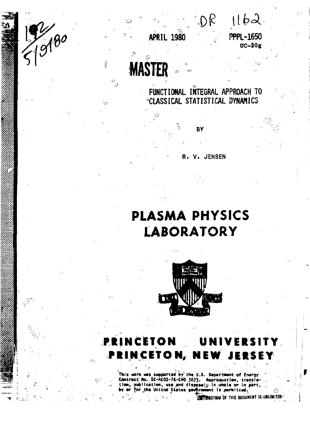

**•DP UW-**

**' OC-20g** 

**APRIL 1980 PPPL-1650** 

**FUNCTIONAL INTEGRAL APPROACH TO CLASSICAL STATISTICAL DYNAMICS** 

**BY** 

**R. V. JENSEN** 

**MAST** 

19180



This work was supported by the U.S. Department of Energy <sup>is</sup><br>Contract Ho.: DE-AC02-76-CM0 3073. . Reproduction, transla-<br>tion, publication, was and disposal; In whole or in part, ... ar for the United States government is permitted.

**" V V.l**

Â

 **r =**

 **liltTlftOTIO\*** ?>F TKIS OOCUWEUT jS.UIiUnHTEB-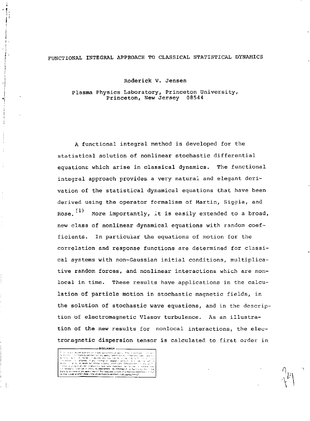# FUNCTIONAL INTEGRAL APPROACH TO CLASSICAL STATISTICAL DYNAMICS

Roderick V. Jensen

Plasma Physics Laboratory, Princeton University, Princeton, New Jersey 08544

٦

A functional integral method is developed for the statistical solution of nonlinear stochastic differential equations which arise in classical dynamics. The functional integral approach provides a very natural and elegant derivation of the statistical dynamical equations that have been derived using the operator formalism of Martin, Siggia, and Rose. "' More importantly, it is easily extended to a broad, new class of nonlinear dynamical equations with random coefficients. In particular the equations of motion for the correlation and response functions are determined for classical systems with non-Gaussian initial conditions, multiplicative random forces, and nonlinear interactions which are nonlocal in time. These results have applications in the calculation of particle motion in stochastic magnetic fields, in the solution of stochastic wave equations, and in the description of electromagnetic Vlasov turbulence. As an illustration of the new results for nonlocal interactions, the electromagnetic dispersion tensor is calculated to first order in

DISCLAIMER -

The most of the Control of the Control of the Control of the Control of the Control of the Control of the Cont<br>In the Control of the Control of the Control of the Control of the Control of the Control of the Control of t<br>

i – Kirkstep Grund<br>Inger – Kirkstep<br>Aristick – Mindelpred<br>Inger – Grundelpred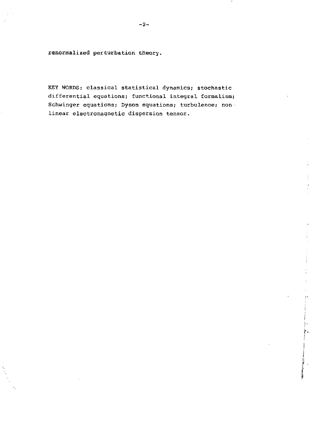renormalized perturbation theory.

KEY WORDS: classical statistical dynamics; stochastic differential equations; functional integral formalism; Schwinger equations; Dyson equations; turbulence; nonlinear electromagnetic dispersion tensor.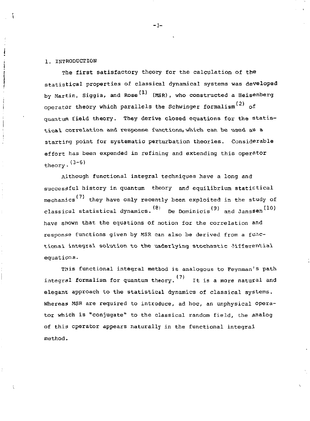### 1. INTRODUCTION

j

The first satisfactory theory for the calculation of the statistical properties of classical dynamical systems was developed by Martin, Siggia, and Rose<sup>(1)</sup> (MSR), who constructed a Heisenberg operator theory which parallels the Schwinger formalism<sup>(2)</sup> of quantum field theory. They derive closed equations for the statistical correlation and response functions, which can be used as a starting point for systematic perturbation theories. Considerable effort has been expended in refining and extending this operator theory.  $(3-6)$ 

Although functional integral techniques have a long and successful history in quantum theory and equilibrium statistical mechanics<sup>(7)</sup> they have only recently been exploited in the study of classical statistical dynamics.  $\left(8\right)$  De Dominicis<sup>(9)</sup> and Janssen<sup>(10)</sup> have shown that the equations of notion for the correlation and response functions given by MSR can also be derived from a functional integral solution to the underlying stochastic 3ifferential equations.

This functional integral method is analogous to Feynman's path integral formalism for quantum theory. It is a more natural and elegant approach to the statistical dynamics of classical systems. Whereas MSR are required to introduce, ad hoc, an unphysical operator which is "conjugate" to the classical random field, the analog of this operator appears naturally in the functional integral method.

 $-3-$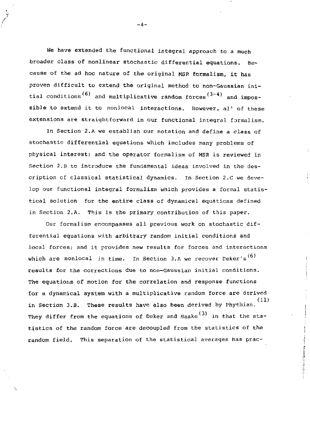We have extended the functional integral approach to a much broader class of nonlinear stochastic differential equations. Be~ cause of the ad hoc nature of the original MSR formalism, it has proven difficult to extend the original method to non-Gaussian initial conditions<sup>(6)</sup> and multiplicative random forces<sup>(3-4)</sup> and impossible to extend it to nonlocal interactions. However, al<sup>1</sup> of these extensions are straightforward in our functional integral formalism.

In Section 2.A we establish our notation and define a class of stochastic differential equations which includes many problems of physical interest; and the operator formalism of MSR is reviewed in Section 2.B to introduce the fundamental ideas involved in the description of classical statistical dynamics. in Section 2.C we develop our functional integral formalism which provides a formal statistical solution for the entire class of dynamical equations defined in Section 2.A. This is the primary contribution of this paper.

Our formalism encompasses all previous work on stochastic differential equations with arbitrary random initial conditions and local forces; and it provides new results for forces and interactions which are nonlocal in time. In Section 3.A we recover Deker's<sup>(6)</sup> results for the corrections due to non-Gaussian initial conditions. The equations of motion for the correlation and response functions for a dynamical system with a multiplicative random force are derived (11) in Section 3.B. These results have also been derived by Phythian. They differ from the equations of Deker and Haake<sup>(3)</sup> in that the statistics of the random force are decoupled from the statistics of the random field. This separation of the statistical averages has prac-

 $-4-$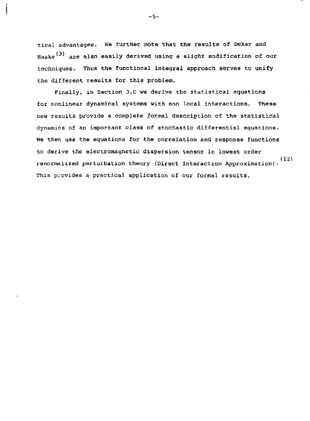tical advantages. We further note that the results of Deker and Haake<sup>(3)</sup> are also easily derived using a slight modification of our techniques. Thus the functional integral approach serves to unify the different results for this problem.

Finally, in Section 3.C we derive the statistical equations for nonlinear dynamical systems with non local interactions. These new results provide a complete formal description of the statistical dynamics of an important class of stochastic differential equations. We then use the equations for the correlation and response functions to derive the electromagnetic dispersion tensor in lowest order renormalized perturbation theory (Direct Interaction Approximation)• This provides a practical application of our formal results.

-5-

ļ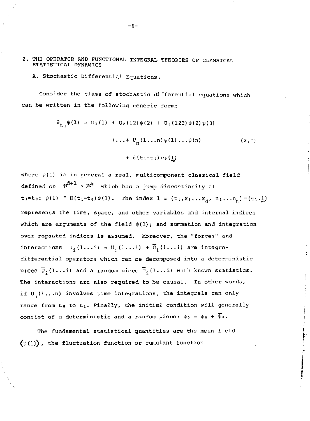- 2. THE OPERATOR AND FUNCTIONAL INTEGRAL THEORIES OF CLASSICAL STATISTICAL DYNAMICS
	- A. Stochastic Differential Equations.

Consider the class of stochastic differential equations which can be written in the following generic form:

$$
\begin{aligned} \n\partial_{\mathbf{t}_1} \psi(1) &= U_1(1) + U_2(12) \psi(2) + U_3(123) \psi(2) \psi(3) \\ \n&\quad + \dots + U_n(1 \dots n) \psi(1) \dots \psi(n) \\ \n&\quad + \delta(\mathbf{t}_1 - \mathbf{t}_0) \psi_0(\underline{1}) \n\end{aligned} \tag{2.1}
$$

where  $\psi(1)$  is in general a real, multicomponent classical field defined on  $\mathbb{R}^{d+1} \times \mathbb{Z}^{m}$  which has a jump discontinuity at  $t_1=t_0$ :  $\psi(1) = H(t_1-t_0) \psi(1)$ . The index  $1 \equiv (t_1, x_1...x_d, n_1...n_m) = (t_1, 1,)$ represents the time, space, and other variables and internal indices which are arguments of the field  $\psi(1)$ ; and summation and integration over repeated indices is assumed. Moreover, the "forces" and interactions  $U_i(1...i) = \overline{U}_i(1...i) + \overline{U}_i(1...i)$  are integrodifferential operators which can be decomposed into a deterministic piece  $\vec{U}_1(1...i)$  and a random piece  $\vec{U}_1(1...i)$  with known statistics. The interactions are also required to be causal. In other words, if  $U_n(1...n)$  involves time integrations, the integrals can only range from  $t_0$  to  $t_1$ . Finally, the initial condition will generally consist of a deterministic and a random piece:  $\psi_0 = \overline{\psi}_0 + \overline{\psi}_0$ .

The fundamental statistical quantities are the mean field  $(\psi(1))$ , the fluctuation function or cumulant function

-6-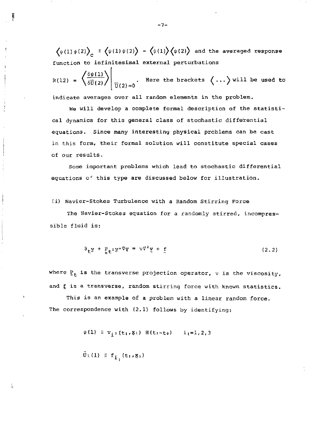$\langle \psi(1)\psi(2)\rangle$  =  $\langle \psi(1)\psi(2)\rangle$  -  $\langle \psi(1)\rangle$  $\langle \psi(2)\rangle$  and the averaged response c function to infinitesimal external perturbations

RU2)  $\left\langle \frac{\delta \psi(1)}{\delta \overline{U}(2)} \right\rangle \Bigg|_{\overline{U}(2) = 0}$ . Here the brackets  $\langle \dots \rangle$  will be used to

indicate averages over all random elements in the problem.

We will develop a complete formal description of the statistical dynamics for this general class of stochastic differential equations. Since many interesting physical problems can be cast in this form, their formal solution will constitute special cases of our results.

Some important problems which lead to stochastic differential equations of this type are discussed below for illustration.

# (i) Navier-Stokes Turbulence with a Random Stirring Force

The Navier-Stokes equation for a randomly stirred, incompressible fluid is:

$$
\partial_{\mathbf{t}} \mathbf{y} + \mathbf{P}_{\mathbf{t}} \cdot \mathbf{y} \cdot \nabla \mathbf{y} = \nu \nabla^2 \mathbf{y} + \mathbf{f} \tag{2.2}
$$

where  $\frac{p}{2t}$  is the transverse projection operator,  $v$  is the viscosity, and f is a transverse, random stirring force with known statistics.

This is an example of a problem with a linear random force. The correspondence with (2.1) follows by identifying:

 $\psi(1) \equiv v_{i} (t_1, \mathbf{x}_1) \mathbf{H}(t_1-t_0) \quad i_1=1,2,3$ 

$$
\tilde{\mathbf{U}}_1(1) \equiv \mathbf{f}_1( \mathbf{t}_1, \mathbf{g}_1)
$$

- 7-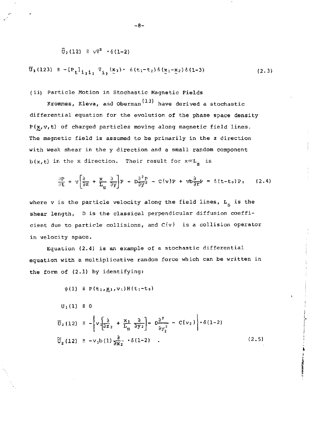$$
\vec{U}_2(12) \equiv \sqrt{2} \cdot \delta(1-2)
$$

$$
\overline{0}_3(123) \equiv -[P_{\underline{t}}]_{\hat{1}_1\hat{1}_3} \overline{v}_{\hat{1}_2}(\underline{x}_3) \cdot \delta(t_1 - t_2) \delta(\underline{x}_1 - \underline{x}_2) \delta(1-3)
$$
 (2.3)

(ii) Particle Motion in Stochastic Magnetic Fields

Krommes, Kleva, and Oberman<sup>(13)</sup> have derived a stochastic differential equation for the evolution of the phase space density  $P(x,v,t)$  of charged particles moving along magnetic field lines. The magnetic field is assumed to be primarily in the z direction with weak shear in the y direction and a small random component b(x,t) in the x direction. Their result for *x«L* is

$$
\frac{\partial P}{\partial t} + v \left[ \frac{\partial}{\partial z} + \frac{x}{L_g} \frac{\partial}{\partial y} \right] P - D \frac{\partial^2 P}{\partial y^2} - C \{v\} P + v b \frac{\partial}{\partial r} P = \delta (t - t_0) P_0 \qquad (2.4)
$$

where v is the particle velocity along the field lines,  $L_c$  is the shear length, D is the classical perpendicular diffusion coefficient due to particle collisions, and C{v) is a collision operator in velocity space.

Equation (2.4) is an example of a stochastic differential equation with a multiplicative random force which can be written in the form of (2.1) by identifying:

 $\psi(1) \equiv P(t_1, x_1, v_1)H(t_1-t_0)$ 

 $U_1(1) \equiv 0$ 

$$
\overline{U}_2(12) \equiv -\left\{v \left[\frac{\partial}{\partial z_2} + \frac{x_1}{L_S} \frac{\partial}{\partial y_2}\right] - p \frac{\partial^2}{\partial y_2^2} - C\{v_2\}\right\} \cdot \delta(1-2)
$$
\n
$$
\widetilde{U}_2(12) \equiv -v_1 b(1) \frac{\partial}{\partial x_2} \cdot \delta(1-2) \quad . \tag{2.5}
$$

-8-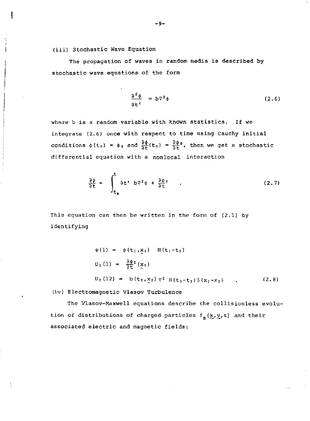(iii) Stochastic Wave Equation

The propagation of waves in random media is described by stochastic wave equations of the form

$$
\frac{\partial^2 \phi}{\partial t^2} = b \nabla^2 \phi \tag{2.6}
$$

where b is a random variable with known statistics. If we integrate (2.6) once with respect to time using Cauchy initial conditions  $\phi(t_0) = \phi_0$  and  $\frac{\partial \phi}{\partial t}(t_0) = \frac{\partial \phi_0}{\partial t}$ , then we get a stochastic differential equation with a nonlocal interaction

$$
\frac{\partial \phi}{\partial t} = \int_{t_0}^{t} \partial t' \, b \nabla^2 \phi + \frac{\partial \phi}{\partial t} \, . \tag{2.7}
$$

This equation can then be written in the form of (2.1) by identifying

$$
\psi(1) = \phi(t_1, x_1) \quad H(t_1 - t_0)
$$
  
\n
$$
U_1(1) = \frac{\partial \phi}{\partial t} (\underline{x}_1)
$$
  
\n
$$
U_2(12) = b(t_2, x_2) \nabla^2 H(t_1 - t_2) \delta(x_1 - x_2) \quad . \quad (2.8)
$$

(iv) Electromagnetic Vlasov Turbulence

The Vlasov-Maxwell equations describe the collisionless evolution of distributions of charged particles  $f_s(x,y,t)$  and their associated electric and magnetic fields: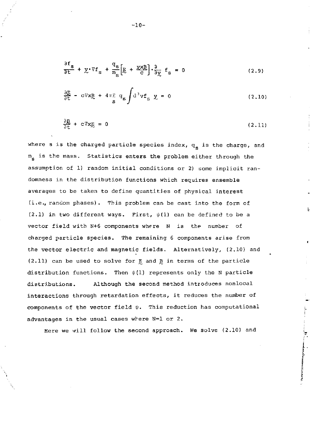$$
\frac{\partial f_s}{\partial t} + \chi \cdot \nabla f_s + \frac{q_s}{m_s} \left[ \underline{E} + \frac{\chi \chi \underline{B}}{c} \right] \cdot \frac{\partial}{\partial \chi} f_s = 0 \tag{2.9}
$$

$$
\frac{\partial E}{\partial t} - c \nabla x \cdot E + 4 \pi \sum_{s} q_{s} \int d^{3} v f_{s} \quad \underline{v} = 0 \tag{2.10}
$$

$$
\frac{\partial \mathbf{R}}{\partial t} + c \nabla \mathbf{x} \mathbf{E} = 0 \tag{2.11}
$$

where s is the charged particle species index,  $q_{\rm g}$  is the charge, and  $m_e$  is the mass. Statistics enters the problem either through the assumption of 1) random initial conditions or 2) some implicit randomness in the distribution functions which requires ensemble averages to be taken to define quantities of physical interest (i.e., random phases). This problem can be cast into the form of (2.1) in two different ways. First,  $\psi(1)$  can be defined to be a vector field with N+6 components where N is the number of charged particle species. The remaining 6 components arise from the vector electric and magnetic fields. Alternatively, (2.10) and (2.11) can be used to solve for E and B in terms of the particle distribution functions. Then  $\psi(1)$  represents only the N particle distributions. Although the second method introduces nonlocal interactions through retardation effects, it reduces the number of components of the vector field  $\psi$ . This reduction has computational advantages in the usual cases where N=l or 2.

Here we will follow the second approach. We solve (2.10) and

ے<br>آ

 $-10-$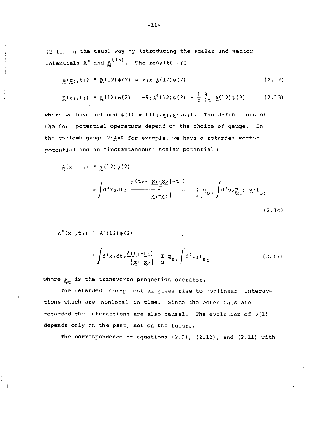$(2.11)$  in the usual way by introducing the scalar and vector potentials  $A^0$  and  $A^{(16)}$ . The results are

$$
B(x_1, t_1) \equiv B(12) \psi(2) = \nabla_1 x \; A(12) \psi(2)
$$
 (2.12)

$$
E(x_1, t_1) \equiv E(12) \psi(2) = -\nabla_1 \lambda^0 (12) \psi(2) - \frac{1}{C} \frac{\partial}{\partial t_1} \underline{\lambda} (12) \psi(2) \tag{2.13}
$$

where we have defined  $\psi(1) \equiv f(t_1, x_1, y_1, s_1)$ . The definitions of the four potential operators depend on the choice of gauge. In the coulomb gauge  $\nabla \cdot A=0$  for example, we have a retarded vector potential and an "instantaneous" scalar potential :

$$
\underline{\mathsf{A}}(\mathsf{x}_1,\mathsf{t}_1) \equiv \underline{\mathsf{A}}(12)\psi(2)
$$

$$
\equiv \int d^{3}x_{2}dt_{2} \frac{\delta(t_{2}+\vert \underline{g_{1} \cdot g_{2}}\vert - t_{1})}{\vert \underline{g_{1} \cdot g_{2}}\vert} = \sum_{S_{2}} q_{S_{2}} \int d^{3}v_{2}p_{C}t \cdot \underline{g_{2}}f_{S_{2}} \tag{2.14}
$$

$$
A^0(x_1, t_1) \equiv A^*(12) \psi(2)
$$

$$
\equiv \int d^{3}x_{2}dt_{2}\frac{\delta(t_{2}-t_{1})}{|x_{1}-x_{2}|}\sum_{s}q_{s_{2}}\int d^{3}v_{2}f_{s_{2}} \qquad (2.15)
$$

where  $g_{+}$  is the transverse projection operator.

The retarded four-potential gives rise to nonlinear interactions which are nonlocal in time. Sines the potentials are retarded the interactions are also causal. The evolution of  $v(1)$ depends only on the past, not on the future.

The correspondence of equations  $(2.9)$ ,  $(2.10)$ , and  $(2.11)$  with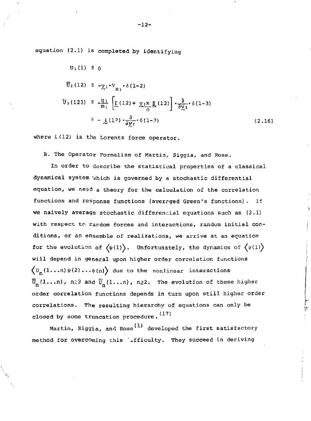equation (2.1) is completed by identifying

$$
\begin{aligned}\n\overline{U}_2(12) &\equiv -\underline{y}_1 \cdot \nabla_{\underline{x}_1} \cdot \delta(1-2) \\
\overline{U}_3(123) &\equiv -\frac{q_1}{m_1} \left[ \underline{E}(12) + \underline{y}_1 \underline{x} \underline{B}(12) \right] \cdot \frac{\partial}{\partial \underline{y}_1} \cdot \delta(1-3) \\
&\equiv -\underline{L}(12) \cdot \frac{\partial}{\partial \underline{y}_1} \cdot \delta(1-3)\n\end{aligned} \tag{2.16}
$$

where  $L(12)$  is the Lorentz force operator.

B. The Operator Formalism of Martin, Siggia, and Rose.

In order to describe the statistical properties of a classical dynamical system vhich is governed by a stochastic differential equation, we need a theory for the calculation of the correlation functions and response functions (avercged Green's functions). If we naively average stochastic differencial equations such as (2.1) with respect to rardom forces and interactions, random initial conditions, or an ensemble of realizations, we arrive at an equation for the evolution of  $\langle \psi(1)\rangle$ . Unfortunately, the dynamics of  $\langle \psi(1)\rangle$ will depend in general upon higher order correlation functions  $\langle\mathbb{U}_{\textrm{n}}(\textrm{1}\dots \textrm{n})\psi(\textrm{2})\dots\psi(\textrm{n})\rangle$  due to the nonlinear interactions  $\bar{U}_{\text{n}}(1\ldots$ n), n $\geq$ 3 and  $\tilde{U}_{\text{n}}(1\ldots$ n), n $\geq$ 2. The evolution of these higher order correlation functions depends in turn upon still higher order correlations- The resulting hierarchy of equations can only be closed by some truncation procedure.  $(17)$ 

Martin, Siggia, and Rose<sup>(1)</sup> developed the first satisfactory method for overcoming this 'ifficulty. They succeed in deriving

Þ

-12-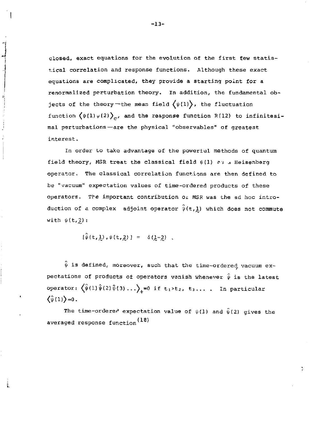closed, exact equations for the evolution of the first few statistical correlation and response functions. Although these exact equations are complicated, they provide a starting point for a renormalized perturbation theory. In addition, the fundamental objects of the theory -the mean field  $\big\langle \psi(1)\big\rangle$ , the fluctuation function  $\langle \psi(1) \psi(2) \rangle_c$ , and the response function R(12) to infinitesimal perturbations—are the physical "observables" of greatest interest.

In order to tako advantage of the poweriul methods of quantum field theory, MSR treat the classical field  $\psi(1)$  as a Heisenberg operator. The classical correlation functions are then defined to be "vacuum" expectation values of time-ordered products of these operators. The important contribution of MSR was the ad hoc introduction of a complex adjoint operator  $\hat{\psi}(t,1)$  which does not commute with  $\psi(t,2)$ :

$$
[\psi(t, \underline{1}), \psi(t, \underline{2})] = \delta(\underline{1}, 2)
$$

s)

ŀ.

 $\hat{\psi}$  is defined, moreover, such that the time-ordered vacuum expectations of products of operators vanish whenever  $\hat{\psi}$  is the latest operator:  $\left\langle \hat{\psi}(1) \hat{\psi}(2) \hat{\psi}(3) \ldots \right\rangle_{4} = 0$  if  $t_1 > t_2$ ,  $t_3 \ldots$  . In particular  $\langle \hat{\psi}(1) \rangle = 0$ .

The time-ordered expectation value of  $\psi(1)$  and  $\hat{\psi}(2)$  gives the averaged response function $^{(18)}$ 

-13-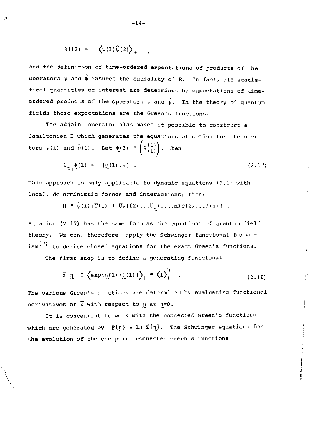$$
R(12) = \left\langle \psi(1)\hat{\psi}(2) \right\rangle_{+}
$$

and the definition of time-ordered expectations of products of the operators  $\psi$  and  $\hat{\psi}$  insures the causality of R. In fact, all statistical quantities of interest are determined by expectations of timeordered products of the operators  $\psi$  and  $\hat{\psi}$ . In the theory of quantum fields these expectations are the Green's functions.

The adjoint operator also makes it possible to construct a Hamiltonian H which generates the equations of motion for the operators  $\psi(1)$  and  $\hat{\psi}(1)$ . Let  $\oint_C(1) = \begin{pmatrix} \psi(1) \\ \hat{\psi}(1) \end{pmatrix}$ , then

$$
\hat{c}_{t_1} \hat{L}(1) = [\hat{L}(1), H]. \qquad (2.17)
$$

This approach is only applicable to dynamic equations (2.1) with local, deterministic forces and interactions; then:

$$
H = \hat{\psi}(\mathbf{\bar{1}}) [\mathbf{\bar{U}}(\mathbf{\bar{1}}) + \mathbf{\bar{U}}_2(\mathbf{\bar{1}}2) \dots \mathbf{\bar{U}}_n(\mathbf{\bar{1}}...n) \psi(2) \dots \psi(n)]
$$

Equation  $(2.17)$  has the seme form as the equations of quantum field theory. We can, therefore, apply the Schwinger functional formal-  $\sin^{(2)}$  to derive closed equations for the exact Green's functions.

The first step is to define a generating functional

$$
\overline{z}\{\eta\} \equiv \left\langle \exp\{\eta(1) \cdot \hat{z}(1)\}\right\rangle_{+} \equiv \left\langle 1\right\rangle_{+}^{\eta} \quad . \tag{2.18}
$$

The various Green's functions are determined by evaluating functional derivatives of  $\overline{z}$  with respect to  $\eta$  at  $\eta=0$ .

It is convenient to work with the connected Green's functions which are generated by  $\bar{F}(\eta) = 1\pi \bar{Z}(\eta)$ . The Schwinger equations for the evolution of the one point connected Greon's functions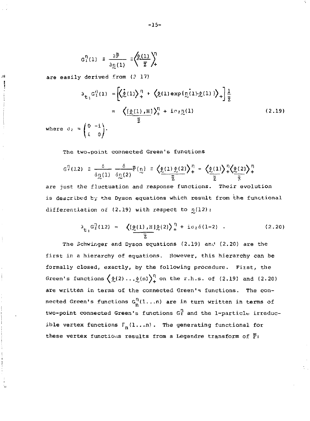$$
G_1^{\eta}(1) = \frac{\partial \bar{F}}{\partial \eta(1)} = \left(\frac{\partial (1)}{\bar{z}}\right)^{\eta}
$$

are easily derived from (? 17)

лi

$$
\partial_{\mathbf{t}_1} G_1^0(1) = \left[ \left( \underline{\hat{\psi}}(1) \right)_+^{\eta} + \left( \underline{\hat{\psi}}(1) \exp\{\underline{\eta}(1) \cdot \underline{\hat{\psi}}(1)\} \right)_+ \right] \frac{1}{2}
$$
  
\n
$$
= \left( \underbrace{\left( \underline{\hat{\psi}}(1), \underline{H} \right)_+^{\eta} + i \sigma_{2} \underline{\eta}(1)}_{\overline{2}} \right) \tag{2.19}
$$
  
\nwhere  $\sigma_2 = \begin{pmatrix} 0 & -i \\ i & 0 \end{pmatrix}$ .

The two-point connected Green's functions

$$
G_{\gamma}^{1}(3,2) \equiv \frac{\delta}{\delta \eta(1)} \frac{\delta}{\delta \eta(2)} \mathbb{F}\{\eta\} \equiv \Big\langle \underline{\hat{\psi}(1) \hat{\psi}(2)} \Big\rangle_{+}^{1} - \Big\langle \underline{\hat{\psi}(1)} \Big\rangle_{+}^{1} \Big\langle \underline{\hat{\psi}(2)} \Big\rangle_{+}^{1}
$$

are just the fluctuation and response functions. Their evolution is described by the Dyson equations which result from the functional differentiation of  $(2.19)$  with respect to  $n(12)$ :

$$
\lambda_{\mathbf{t}_1} G_2^{\eta}(12) = \left\langle \left[ \underline{\phi}(1), \underline{H} \right] \underline{\phi}(2) \right\rangle_+^{\eta} + i \sigma_2 \delta(1-2) \quad . \tag{2.20}
$$

The Schwinger and Dyson equations (2.19) and (2.20) are the first in a hierarchy of equations. However, this hierarchy can be formally closed, exactly, by the following procedure. First, the Green's functions  $\left(\frac{1}{2}(2) \ldots \frac{1}{2}(n)\right)^{\eta}$  on the r.h.s. of (2.19) and (2.20) are written in terms of the connected Green's functions. The connected Green's functions  $G_n^{\Pi}(1...n)$  are in turn written in terms of two-point connected Green's functions  $G_2^{\eta}$  and the 1-particle irreducible vertex functions  $\Gamma_n(1, \ldots n)$ . The generating functional for these vertex functions results from a Legendre transform of  $\bar{F}$ :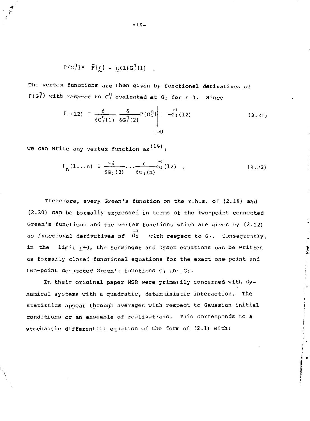$$
\Gamma\{G_1^n\} = \bar{F}\{p\} - p(1)G_1^n(1) \quad .
$$

The vertex functions are then given by functional derivatives of  $\Gamma\{G_1^{\eta}\}\$  with respect to  $C_1^{\eta}$  evaluated at  $G_1$  for  $\eta=0$ . Since

$$
\Gamma_2(12) = \frac{\delta}{\delta G_1^{\eta}(1)} \frac{\delta}{\delta G_1^{\eta}(2)} \Gamma\{G_1^{\eta}\} = -\frac{\delta}{G_2(12)}
$$
 (2.21)

we can write any vertex function as  $^{(19)}$ :

$$
\Gamma_{n}(1...n) = \frac{-\delta}{\delta G_{1}(3)} \cdots \frac{\delta}{\delta G_{1}(n)} G_{2}(12) \quad . \tag{2.22}
$$

Therefore, every Green's function on the r.h.s. of (2.19) and (2.20) can be formally expressed in terms of the two-point connected Green's functions and the vertex functions which are given by (2,22) as functional derivatives of  $\begin{bmatrix} -1 \ 6_2 \end{bmatrix}$  with respect to  $G_l$ . Consequently, in the limit  $n+0$ , the Schwinger and Dyson equations can be written as formally closed functional equations for the exact one-point and two-point connected Green's functions  $G_1$  and  $G_2$ .

In their original paper MSR were primarily concerned with dynamical systems with a quadratic, deterministic interaction. The statistics appear through averages with respect to Gaussian initial conditions or an ensemble of realizations. This corresponds to a stochastic differential equation of the form of (2.1) with: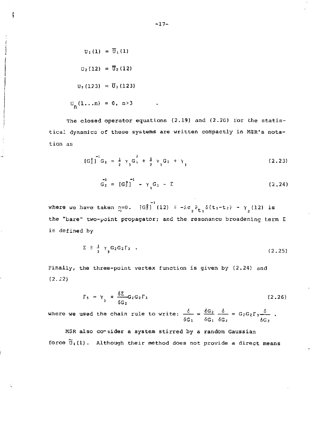$$
U_1(1) = \overline{U}_1(1)
$$
  

$$
U_2(12) = \overline{U}_2(12)
$$
  

$$
U_3(123) = \overline{U}_3(123)
$$
  

$$
U_n(1...n) = 0, n>3
$$

f

The closed operator equations (2.19) and (2.20) for the statistical dynamics of these systems are written compactly in MSR's notation as

$$
[G_2^0]_G_1 = \frac{1}{2} \gamma_3 G_1 + \frac{1}{2} \gamma_3 G_2 + \gamma_1
$$
 (2.23)

$$
G_2 = [G_2^0]^{-1} - \gamma_3 G_1 - \Sigma
$$
 (2.24)

where we have taken  $n=0$ .  $\frac{1}{3}G_2^0$  (12) =  $-i.\sigma \frac{1}{2}a_{t_1} \delta(t_1-t_2) - \gamma \frac{1}{2}$  (12) is the "bare" two-point propagator; and the resonance broadening term  $\Sigma$ is defined by

$$
\Sigma \equiv \frac{1}{2} \gamma_3 G_2 G_2 \Gamma_3 \quad . \tag{2.25}
$$

Finally, the three-point vertex function is given by (2.24) and (2.22)

$$
\Gamma_3 = \gamma_3 + \frac{\delta \Sigma}{\delta G_2} G_2 G_2 \Gamma_3 \tag{2.26}
$$

where we used the chain rule to write;  $\frac{a}{b} = \frac{0.02}{0.2} = 0.6262 \frac{a}{b} = 0.6262 \frac{b}{c}$ .

MSR also consider a system stirred by a random Gaussian force Ui(l). Although their method does not provide a direct means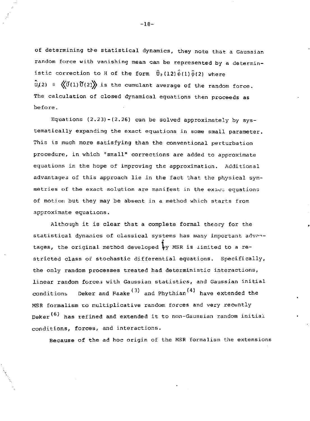of determining the statistical dynamics, they note that a Gaussian random force with vanishing mean can be represented by a deterministic correction to H of the form  $\hat{U}_2(12)\hat{\psi}(1)\hat{\psi}(2)$  where  $\hat{U}(2) = \langle U(1)\hat{U}(2)\rangle$  is the cumulant average of the random force. The calculation of closed dynamical equations then proceeds as before.

Equations  $(2.23)-(2.26)$  can be solved approximately by systematically expanding the exact equations in some small parameter. This is much more satisfying than the conventional perturbation procedure, in which "small" corrections are added to approximate equations in the hope of improving the approximation. Additional advantages of this approach lie in the fact that the physical symmetries of the exact solution are manifest in the exact equations of motion but they may be absent in a method which starts from approximate equations.

Although it is clear that a complete formal theory for the statistical dynamics of classical systems has many important advantages, the original method developed  $^3$ y MSR is limited to a restricted class of stochastic differential equations. Specifically, the only random processes treated had deterministic interactions, linear random forces with Gaussian statistics, and Gaussian initial conditions Deker and Haake<sup>(3)</sup> and Phythian<sup>(4)</sup> have extended the MSR formalism to multiplicative random forces and very recently Deker<sup>(6)</sup> has refined and extended it to non-Gaussian random initial conditions, forces, and interactions.

Because of the ad hoc origin of the MSR formalism the extensions

-18-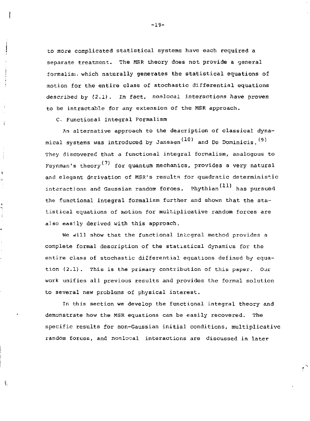to more complicated statistical systems have each required a separate treatment. The MSR theory does not provide a general formalist, which naturally generates the statistical equations of motion for the entire class of stochastic differential equations described by (2.1). *In fact,* nonlocal interactions have proven to be intractable for any extension of the MSR approach.

C. Functional Integral Formalism

÷

ą Ë

Ŕ

 $\mathbf{f}_{\mathbf{y}}$ 

An alternative approach to the description of classical dynamical systems was introduced by Janssen<sup>(10)</sup> and De Dominicis.  $(9)$ They discovered that a functional integral formalism, analogous to Feynman's theory<sup>(7)</sup> for quantum mechanics, provides a very natural and elegant derivation of MSR's results for quadratic deterministic interactions and Gaussian random forces. Phythian  $(11)$  has pursued the functional integral formalism further and shown that the statistical equations of motion for multiplicative random forces are also easily derived with this approach.

We will show that the functional integral method provides a complete formal description of the statistical dynamics for the entire class of stochastic differential equations defined by equation (2.1). This is the primary contribution of this paper. Our work unifies all previous results and provides the formal solution to several new problems of physical interest.

In this section we develop the functional integral theory and demonstrate how the MSR equations can be easily recovered. The specific results for non-Gaussian initial conditions, multiplicative random forces, and nonlocal interactions are discussed in later

-19-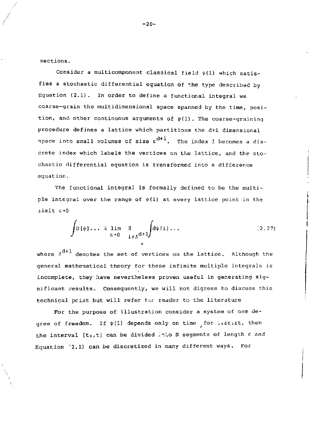sections.

Consider a multicomponent classical field  $\psi(1)$  which satisfies a stochastic differential equation of \*he type described by Equation (2.1). In order to define a functional integral we coarse-grain the multidimensional space spanned by the time, position, and other continuous arguments of  $\psi(1)$ . The coarse-graining procedure defines a lattice which partitions the d+1 dimensional space into small volumes of size  $\varepsilon^{d+1}$ . The index 1 becomes a discrete index which labels the vertices on the lattice, and the stochastic differential equation is transformed into a difference equation.

The functional integral is formally defined to be the multiple integral over the range of  $\psi(\mathbf{i})$  at every lattice point in the  $limit$  $\varepsilon \rightarrow 0$ 

$$
\int D\{\psi\} \dots \equiv \lim_{\epsilon \to 0} \prod_{i \in \Lambda^{d+1}} \int d\psi(i) \dots \qquad (2.27)
$$

where  $\Lambda^{d+1}$  denotes the set of vertices on the lattice. Although the general mathematical theory for these infinite multiple integrals is incomplete, they have nevertheless proven useful in generating significant results. Consequently, we will not digress to discuss this technical pcint but will refer the reader to the literature

For the purpose of illustration consider a system of one degree of freedom. If  $\psi(1)$  depends only on time for Lostist, then the interval  $[t_0,t]$  can be divided into N segments of length  $\varepsilon$  and Equation '2.1) can be discretized in many different ways. For

-20-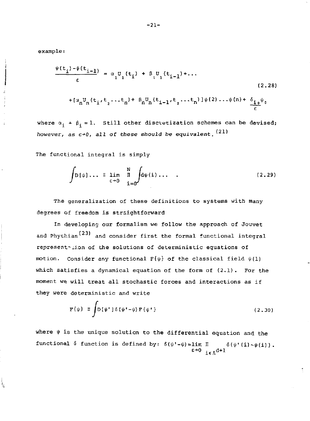example:

Ę,

$$
\frac{\psi(t_{\underline{i}}) - \psi(t_{\underline{i-1}})}{\varepsilon} = \alpha_1 U_1(t_{\underline{i}}) + \beta_1 U_1(t_{\underline{i-1}}) + \dots
$$
\n(2.28)  
\n
$$
+ [\alpha_n U_n(t_{\underline{i}}, t_{\underline{j}}, \dots t_n) + \beta_n U_n(t_{\underline{i-1}}, t_{\underline{j}}, \dots t_n)] \psi(2) \dots \psi(n) + \frac{\delta_{\underline{i, 0}} \psi_0}{\varepsilon}
$$

where  $\alpha_i + \beta_i = 1$ . Still other discretization schemes can be devised;  $(21)$ however, as e-\*0, all of these should be equivalent.

The functional integral is simply

$$
\int D\{\psi\} \dots \equiv \lim_{\epsilon \to 0} \prod_{i=0}^{N} d\psi(i) \dots \qquad (2.29)
$$

The generalization of these definitions to systems with many degrees of freedom is straightforward

In developing our formalism we follow the approach of Jouvet and Phythian<sup>(23)</sup> and consider first the formal functional integral representation of the solutions of deterministic equations of motion. Consider any functional  $F\{\psi\}$  of the classical field  $\psi(1)$ which satisfies a dynamical equation of the form of  $(2.1)$ . For the moment we will treat all stochastic forces and interactions as if they were deterministic and write

$$
\mathbf{F}\{\psi\} \equiv \int \mathbf{D}\{\psi^{\dagger}\} \delta(\psi^{\dagger} - \psi) \mathbf{F}\{\psi^{\dagger}\}\tag{2.30}
$$

where  $\psi$  is the unique solution to the differential equation and the functional  $\delta$  function is defined by:  $\delta$ ( $\psi$ '- $\psi$ )=lim. IIII  $\delta$ ( $\psi$ '(i)  $\sim$  $\psi$ (i)).  $E+0$  ie $\Lambda^{\tt d+1}$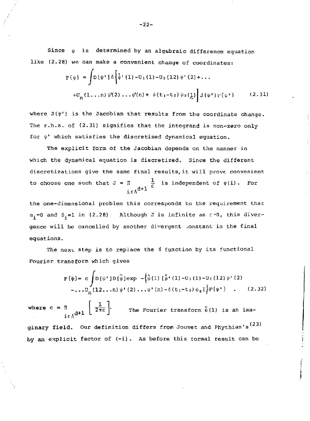Since  $\psi$  is determined by an algebraic difference equation like (2.28) we can make a convenient change of coordinates:

$$
F\{\psi\} = \int D\{\psi^*\} \delta\left[\dot{\psi}^+(1) - U_1(1) - U_2(12)\psi^+(2) + \dots\right]
$$
  
+
$$
U_n(1, \dots, n) \psi'(2) \dots \psi(n) + \delta(t_1 - t_0) \psi_0(\xi)\right] J(\psi^*) F\{\psi^*\} \qquad (2.31)
$$

where  $J(\psi')$  is the Jacobian that results from the coordinate change. The r.h.s. of (2.31) signifies that the integrand is non-zero only for *\ji'* which satisfies the discretized dynamical equation.

The explicit form of the Jacobian depends on the manner in which the dynamical equation is discretized. Since the different discretizations give the same final results,it will prove, convenient to choose one such that  $J = \Pi$   $\frac{1}{\epsilon}$  is independent of  $\psi(i)$ . For  $\ddot{ }$  =  $\ddot{ }$  + 1

the one-dimensional problem this corresponds to the requirement that;  $\alpha_i=0$  and  $\beta_i=1$  in (2.28). Although J is infinite as  $c \cdot 0$ , this divergence will be cancelled by another divergent constant in the final equations.

The next step is to replace the  $\delta$  function by its functional Fourier transform which gives

$$
F\{\psi\} = c \int D\{\psi'\} D\{\hat{\psi}\}_{exp} - \{\hat{\psi}(1) [\hat{\psi}'(1) - U_1(1) - U_2(12)\psi'(2) - \dots U_n(12...n)\psi'(2) \dots \psi'(n) - \delta(t_1 - t_0)\psi_0]\} F\{\psi'\} \quad . \tag{2.32}
$$

where  $c = x$ ,  $\frac{1}{2}$   $\frac{1}{2\pi\varepsilon}$  \* The Fourier transform  $\psi(1)$  is an ima $i \in \Lambda$ <sup>u</sup>'<sup>+</sup> L

ginary field. Our definition differs from Jouvet and Phythian's  $^{(23)}$ by an explicit factor of (-i). As before this formal result can be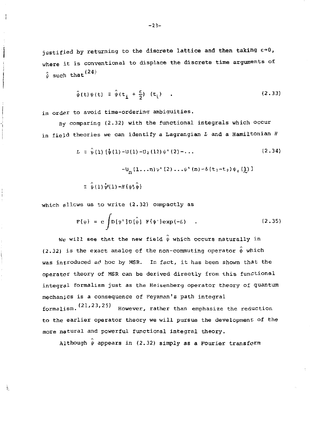justified by returning to the discrete lattice and then taking  $\varepsilon \rightarrow 0$ , where it is conventional to displace the discrete time arguments of  $\gamma$  (24)  $\psi$  such that

$$
\hat{\psi}(\mathbf{t})\psi(\mathbf{t}) \equiv \hat{\psi}(\mathbf{t}_{i} + \frac{\epsilon}{2}) (\mathbf{t}_{i}) \quad . \tag{2.33}
$$

in order to avoid time-ordering ambiguities.

 $\mathbf{1}$ 

辶

By comparing  $(2.32)$  with the functional integrals which occur in field theories we can identify a Lagrangian *L* and a Hamiltonian *H* 

$$
L = \hat{\psi}(1) \{\hat{\psi}(1) - U(1) - U_2(12)\psi'(2) - \dots
$$
\n
$$
-U_n(1 \dots n)\psi'(2) \dots \psi'(n) - \delta(t_1 - t_0)\psi_0(\underline{\lambda})\}
$$
\n
$$
\equiv \hat{\psi}(1)\hat{\psi}(1) - H\{\psi\}\hat{\psi}\}
$$
\n(2.34)

which allows us to write (2.32) compactly as

$$
\mathbf{F}\{\psi\} = \mathbf{c} \int \mathbf{D}\{\psi^*\} \mathbf{D}\{\hat{\psi}\} \ \mathbf{F}\{\psi^*\} \exp(-L) \quad . \tag{2.35}
$$

We will see that the new field  $\hat{\psi}$  which occurs naturally in (2.32) is the exact analog of the non-commuting operator  $\hat{\psi}$  which was introduced ad hoc by MSR. In fact, it has been shown that the operator theory of MSR can be derived directly from this functional integral formalism just as the Heisenberg operator theory of quantum mechanics is a consequence of Feynman's path integral formalism.  $(21, 23, 25)$  However, rather than emphasize the reduction to the earlier operator theory we will pursue the development of the more natural and powerful functional integral theory.

Although  $\hat{\psi}$  appears in (2.32) simply as a Fourier transform

-23-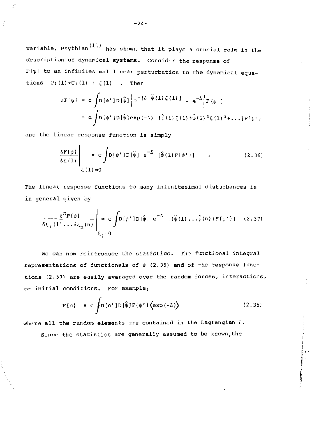variable, Phythian $(11)$  has shown that it plays a crucial role in the description of dynamical systems. Consider the response of  $F{\psi}$  to an infinitesimal linear perturbation to the dynamical equations  $U_1(1) + U_1(1) + \xi(1)$  . Then

$$
\delta F \{ \psi \} = c \int D \{ \psi^* \} D \{ \hat{\psi} \} \Biggl\{ e^{-\{ L - \hat{\psi}(1) \xi(1) \}} - e^{-L} \Biggr\} F \{ \psi^* \}
$$
  
= c 
$$
\int D \{ \psi^* \} D \{ \hat{\psi} \} \exp \{-L \} \{ \hat{\psi}(1) \xi(1) + \hat{\psi}(1) \}^2 \xi(1) \}^2 + \ldots \} F^{\{ \psi^* \}}
$$

and the linear response function is simply

$$
\frac{\delta F\{\psi\}}{\delta \zeta(1)}\Bigg|_{\zeta(1)=0} = c \int D\{\psi'\} D\{\hat{\psi}\} e^{-L} \{\hat{\psi}(1) F\{\psi'\}\} \qquad (2.36)
$$

The linear response functions to many infinitesimal disturbances is in general qiven by

$$
\frac{\delta^{n}F(\psi)}{\delta\xi_{1}(1'\dots\delta\xi_{n}(n)}\bigg|_{\xi_{1}=0} = c \int D[\psi'] D[\hat{\psi}] e^{-L} [(\hat{\psi}(1)\dots\hat{\psi}(n))F(\psi')] \quad (2.37)
$$

We can now reintroduce the statistics. The functional integral representations of functionals of  $\psi$  (2.35) and of the response functions (2.371 are easily averaged over the random forces, interactions, or initial conditions. For example;

$$
F{\psi} = c \int D{\psi' J} D{\hat{\psi} J} F{\psi' J} \langle exp(-L) \rangle
$$
 (2.38)

where all the random elements are contained in the Lagrangian *L.* 

Since the statistics are generally assumed to be known, the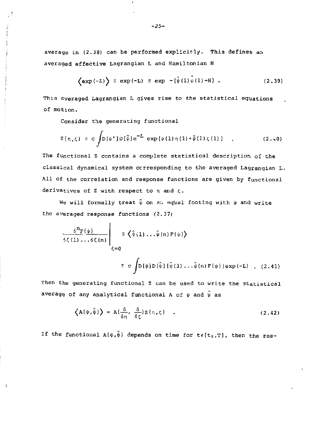average in (2.38) can be performed explicitly. This defines an averaged effective Lagrangian L and Hamiltonian H

$$
\left\langle \exp\left(-L\right)\right\rangle \equiv \exp\left(-L\right) \equiv \exp\left(-\left(\hat{\psi}\left(1\right)\right)\psi\left(1\right) - H\right) \quad . \tag{2.39}
$$

This averaged Lagrangian L gives rise to the statistical equations of motion.

Consider the generating functional

$$
Z\{\eta,\zeta\} = c \int D[\psi^*] D[\hat{\psi}] e^{-L} \exp[\psi(1)\eta(1) + \hat{\psi}(1)\zeta(1)] \quad . \tag{2.40}
$$

The functional Z contains a complete statistical description of the classical dynamical system ccrresponding to the averaged Lagrangian  $L$ . All of the correlation and response functions are given by functional derivatives of Z with respect to  $\eta$  and  $\zeta$ .

We will formally treat  $\hat{\psi}$  on an equal footing with  $\psi$  and write the averaged response functions (2.37;

$$
\frac{\delta^{n}F(\psi)}{\delta \xi(1) \ldots \delta \xi(n)} \Bigg|_{\xi=0} \equiv \left\langle \hat{\psi}(1) \ldots \hat{\psi}(n) F(\psi) \right\rangle
$$
  

$$
\equiv c \int D[\psi] D[\hat{\psi}] [\hat{\psi}(1) \ldots \hat{\psi}(n) F(\psi)] exp(-L) . (2.41)
$$

Then the generating functional Z can be used to write the statistical average of any analytical functional A of  $\psi$  and  $\hat{\psi}$  as

$$
\left\langle A\{\psi,\hat{\psi}\}\right\rangle = A\{\frac{\delta}{\delta\eta},\frac{\delta}{\delta\xi}\}Z\{\eta,\zeta\} \quad . \tag{2.42}
$$

If the functional  $A\{\psi,\hat{\psi}\}$  depends on time for  $t\in[t_0,T]$ , then the res-

k

*-25-*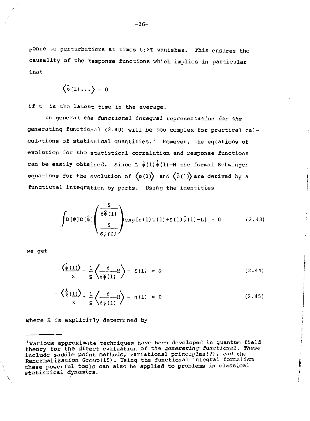ponse to perturbations at times  $t_1$ >T vanishes. This ensures the causality of the response functions which implies in particular that

$$
\langle \hat{\psi}(1) \dots \rangle = 0
$$

if t<sub>1</sub> is the latest time in the average.

In general *ttie* functional integral representation for *the*  generating functional (2.40) will be too complex for practical calculations of statistical quantities.<sup>1</sup> However, the equations of evolution for the statistical correlation and response functions can be easily obtained. Since  $L=\hat{\psi}(1)\hat{\psi}(1)$ -H the formal Schwinger equations for the evolution of  $\langle \psi(1) \rangle$  and  $\langle \hat{\psi}(1) \rangle$  are derived by a functional integration by parts. Using the identities

$$
\int D\left[\psi\right]D\left[\hat{\psi}\right]\left(\frac{\delta}{\delta\hat{\psi}\left(1\right)}\right)\exp\left[\eta\left(1\right)\psi\left(1\right)+\zeta\left(1\right)\hat{\psi}\left(1\right)-L\right]=0\tag{2.43}
$$

we get

$$
\left\langle \frac{\dot{\psi}(1)}{z} \right\rangle = \frac{1}{z} \left\langle \frac{\delta}{\delta \hat{\psi}(1)} H \right\rangle - \zeta(1) = 0 \tag{2.44}
$$

$$
-\left\langle \frac{\tilde{\psi}(1)}{z} \right\rangle = \frac{1}{z} \left\langle \frac{\delta}{\delta \psi(1)} \right\rangle - \eta(1) = 0 \qquad (2.45)
$$

**THE REPORT OF STATE** 

where H is explicitly determined by

<sup>&#</sup>x27;Various approximate techniques have been developed in quantum field theory for the direct evaluation of the generating functional. These **include** saddle point methods, variational principles(7)*,* and the Renormalization Group(19). Using the functional integral formalism these powerful tools can also be applied to problems in classical statistical dynamics.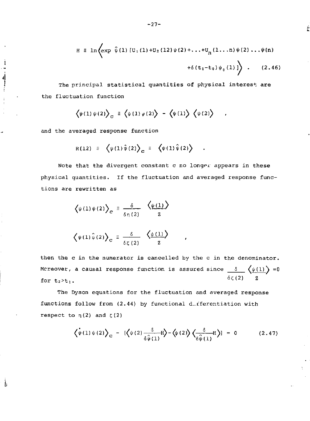$$
H = \ln \left( \exp \ \hat{\psi}(1) \left[ U_1(1) + U_2(12) \psi(2) + \ldots + U_n(1 \ldots n) \psi(2) \ldots \psi(n) + \delta(t_1 - t_0) \psi_0(1) \right] \right) \ . \tag{2.46}
$$

The principal statistical quantities of physical interest are the fluctuation function

$$
\langle \psi(1) \psi(2) \rangle_c \equiv \langle \psi(1) \psi(2) \rangle - \langle \psi(1) \rangle \langle \psi(2) \rangle
$$

and the averaged response function

 $\mathbf{I}$ 

ŀ.

$$
R(12) \equiv \left\langle \psi(1)\hat{\psi}(2) \right\rangle_C \equiv \left\langle \psi(1)\hat{\psi}(2) \right\rangle \quad .
$$

Note that the divergent constant c no longer appears in these physical quantities. If the fluctuation and averaged response functions are rewritten as

$$
\langle \psi(1)\psi(2)\rangle_C \equiv \frac{\delta}{\delta_0(2)} \frac{\langle \psi(1)\rangle}{2}
$$

$$
\left\langle \psi(1) \hat{\psi}(2) \right\rangle_{\mathbf{C}} \equiv \frac{\delta}{\delta \zeta(2)} \left\langle \frac{\psi(1)}{2} \right\rangle
$$

then the c in the numerator is cancelled by the c in the denominator. Mcreover, a causal response function is assured since  $\_\delta\_\setminus(\psi(1))$  =0 for  $t_2 > t_1$ .  $\overline{\phantom{a}}$   $\overline{\phantom{a}}$   $\overline{\phantom{a}}$   $\overline{\phantom{a}}$   $\overline{\phantom{a}}$   $\overline{\phantom{a}}$   $\overline{\phantom{a}}$   $\overline{\phantom{a}}$   $\overline{\phantom{a}}$   $\overline{\phantom{a}}$   $\overline{\phantom{a}}$   $\overline{\phantom{a}}$   $\overline{\phantom{a}}$   $\overline{\phantom{a}}$   $\overline{\phantom{a}}$   $\overline{\phantom{a}}$   $\overline{\phantom{a}}$   $\overline{\phantom{a}}$   $\overline{\$  $\sim$   $\sim$   $\sim$   $\sim$ 

The Dyson equations for the fluctuation and averaged response functions follow from (2.44) by functional differentiation with respect to  $\eta(2)$  and  $\zeta(2)$ 

$$
\left\langle \psi(1)\psi(2)\right\rangle_{\mathcal{C}} - \left[ \left\langle \psi(2)\frac{\delta}{\delta\hat{\psi}(1)}\mathbf{H} \right\rangle - \left\langle \psi(2)\right\rangle \left\langle \frac{\delta}{\delta\hat{\psi}(1)}\mathbf{H} \right\rangle \right] = 0 \quad (2.47)
$$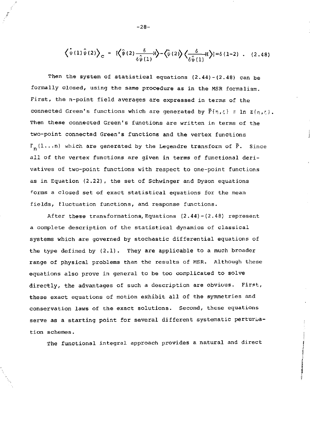$$
\left\langle \psi(1)\hat{\psi}(2)\right\rangle_{\mathbb{C}} - \left[\left\langle \hat{\psi}(2)\frac{\delta}{\delta\hat{\psi}(1)}H\right\rangle - \left\langle \hat{\psi}(2)\right\rangle \left\langle \frac{\delta}{\delta\hat{\psi}(1)}H\right\rangle \right] = \delta(1-2) \quad . \quad (2.48)
$$

Then the system of statistical equations  $(2.44)-(2.48)$  can be formally closed, using the same procedure as in the MSR formalism. First, the n-point field averages are expressed in terms of the connected Green's functions which are generated by  $\overline{F}\{n,\zeta\} \equiv \ln Z\{n,\zeta\}$ . Then these connected Green's functions are written in terms of the two-point connected Green's functions and the vertex functions  $\Gamma_n(1...n)$  which are generated by the Legendre transform of  $\bar{F}$ . Since all of the vertex functions are given in terms of functional derivatives of two-point functions with respect to one-point functions as in Equation (2.22), the set of Schwinger and Dyson equations forms a closed set of exact statistical equations for the mean fields, fluctuation functions, and response functions.

After these transformations, Equations (2 . 44)- (2.48) represent a complete description of the statistical dynamics of classical systems which are governed by stochastic differential equations of the type defined by (2.1). They are applicable to a much broader range of physical problems than the results of MSR. Although these equations also prove in general to be too complicated to solve directly, the advantages of such a description are obvious. First, these exact equations of motion exhibit all of the symmetries and conservation laws of the exact solutions. Second, these equations serve as a starting point for several different systematic perturbation schemes.

The functional integral approach provides a natural and direct

-28-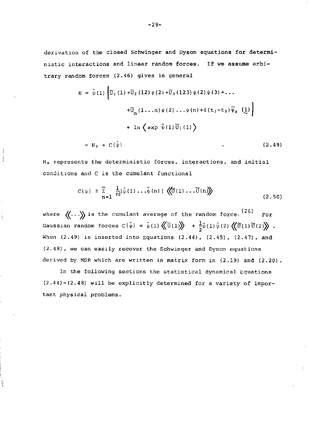derivation of the closed Schwinger and Dyson equations for deterministic interactions and linear random forces. If we assume arbitrary random forces (2.46) gives in general

$$
H = \hat{\psi}(1) \left[ \overline{U}_1(1) + \overline{U}_2(12) \psi(2) + \overline{U}_3(123) \psi(2) \psi(3) + ... + \overline{U}_n(1...n) \psi(2) ... \psi(n) + \delta(t_1 - t_0) \overline{\psi}_0(\underline{1}) \right]
$$
  
+ 
$$
1n \left\{ exp \hat{\psi}(1) \overline{U}_1(1) \right\}
$$
  
= 
$$
H_0 + C\{\hat{\psi}\}
$$
 (2.49)

H0 represents the deterministic forces, interactions, and initial conditions and C is the cumulant functional

$$
C\{\psi\} = \sum_{n=1}^{\infty} \frac{1}{n!} [\hat{\psi}(1) \dots \hat{\psi}(n)] \langle\!\!\!\langle \hat{U}(1) \dots \hat{U}(n) \rangle\!\!\!\rangle
$$
 (2.50)

 $126$  $\mathcal{N}$  . NS is the cumulant average of the random force-Gaussian random forces C{ $\hat{\psi}$ } =  $\hat{\psi}$ (1)  $\langle\!\langle \widetilde{\upsilon}(1)\rangle\!\rangle$  +  $\frac{1}{2} \hat{\psi}$ (1)  $\hat{\psi}$ (2)  $\langle\!\langle \widetilde{\upsilon}(1)\widetilde{\upsilon}(2)\rangle\!\rangle$ .  $W_{\rm eff}$  is inserted into Equations (2.49), (2.49), (2.49), (2.49), (2.47), (2.45), (2.45), (2.47), and (2.48), we can easily recover the Schwinger and Dyson equations derived by MSR which are written in matrix form in (2.19) and (2.20).

In the following sections the statistical dynamical  $\mathcal{L}$ (2.44)-(2.48) will be explicitly determined for a variety of importance for a variety of importance  $\mathcal{L}$ tant physical problems.

ţ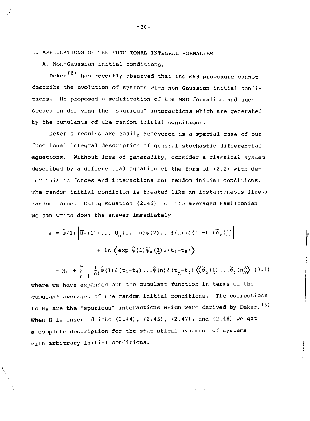3. APPLICATIONS OF THE FUNCTIONAL INTEGPAL FORMALISM

A. Nor.-Gaussian initial conditions.

Deker $(6)$  has recently observed that the MSR procedure cannot describe the evolution of systems with non-Gaussian initial conditions. He proposed a modification of the MSR formaliam and succeeded in deriving the "spurious" interactions which are generated by the cumulants of the random initial conditions.

Deker's results are easily recovered as a special case of our functional integral description of general stochastic differential equations. Without loss of generality, consider a classical system described by a differential equation of the form of (2.1) with deterministic forces and interactions but random initial conditions. The random initial condition is treated like an instantaneous linear random force. Using Equation (2.46) for the averaged Hamiltonian we can write down the answer immediately

$$
H = \hat{\psi}(1) \left[ \overline{U}_1(1) + \dots + \overline{U}_n(1 \dots n) \psi(2) \dots \psi(n) + \delta(t_1 - t_0) \overline{\psi}_0(\underline{1}) \right]
$$
  
+  $\ln \left\{ \exp \hat{\psi}(1) \widetilde{\psi}_0(\underline{1}) \delta(t_1 - t_0) \right\}$ 

$$
= H_0 + \sum_{n=1}^{\infty} \frac{1}{n!} \hat{\psi}(1) \delta(t_1 - t_0) \dots \hat{\psi}(n) \delta(t_n - t_0) \langle \langle \widetilde{\psi}_0(1) \dots \widetilde{\psi}_0(n) \rangle \rangle \tag{3.1}
$$

where we have expanded out the cumulant function in terms of the cumulant averages of the random initial conditions. The corrections to H<sub>0</sub> are the "spurious" interactions which were derived by Deker.  $(6)$ When H is inserted into (2.44), (2.45), (2.47), and (2.48) we get a complete description for the statistical dynamics of systems vith arbitrary initial conditions.

-30-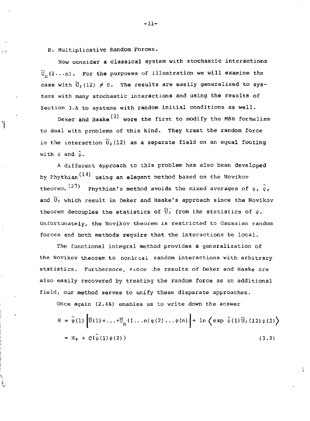B. Multiplicative Random Forces.

ΙĪ

ï

Now consider a classical system with stochastic interactions  $\widetilde{U}_{-}(1...n)$ . For the purposes of illustration we will examine the case with  $\widetilde{U}_2(12) \neq 0$ . The results are easily generalized to systems with many stochastic interactions and using the results of Section 3.A to systems with random initial conditions as well.

Deker and Haake<sup>(3)</sup> were the first to modify the MSR formalism to deal with problems of this kind. They treat the random force in the interaction  $\widetilde{U}_2$  (12) as a separate field on an equal footing with  $\psi$  and  $\hat{\psi}$ .

A different approach to this problem has also been developed by Phythian $(14)$  using an elegant method based on the Novikov theorem,  $(27)$  Phythian's method avoids the mixed averages of  $\psi$ ,  $\hat{\psi}$ , and  $\widetilde{\bm{\mathsf{U}}}_2$  which result in Deker and Haake's approach since the Novikov theorem decouples the statistics of  $\widetilde{U}_2$  from the statistics of  $\psi$ . Unfortunately, the Novikov theorem is restricted to Gaussian random forces and both methods require that the interactions be local.

The functional integral method provides a generalization of the Novikov theorem to nonlccal random interactions with arbitrary statistics. Furthermore, since the results of Deker and Haake are also easily recovered by treating the random force as an additional field, our method serves to unify these disparate approaches.

Once again (2.46) enables us to write down the answer

$$
H = \hat{\psi}(1) \left[ \overline{U}(1) + ... + \overline{U}_n (1 ... n) \psi(2) ... \psi(n) \right] + \ln \left\{ \exp \hat{\psi}(1) \widetilde{U}_2 (12) \psi(2) \right\}
$$
  
=  $H_0 + C \{\hat{\psi}(1) \psi(2) \}$  (3.2)

-31-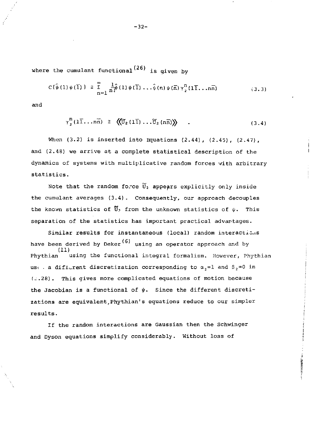where the cumulant functional'<sup>oo,</sup> is given by

$$
C\{\hat{\psi}(1)\psi(\overline{1})\} \equiv \sum_{n=1}^{\infty} \frac{1}{n!} \hat{\psi}(1)\psi(\overline{1}) \dots \hat{\psi}(n)\psi(\overline{n})\gamma_2^n(1\overline{1} \dots n\overline{n})
$$
 (3.3)

and

$$
\gamma_2^{\mathbf{n}}(1\overline{1}\ldots n\overline{n}) \equiv \langle (\overline{0}_2(1\overline{1})\ldots \overline{0}_2(n\overline{n})) \rangle \qquad . \qquad (3.4)
$$

When (3.2) is inserted into Equations (2.44), (2.45), (2.47), and (2.48) we arrive at a complete statistical description of the dynamics of systems with multiplicative random forces with arbitrary statistics.

Note that the random force  $\widetilde{U}_2$  appears explicitly only inside the cumulant averages (3.4). Consequently, our approach decouples the known statistics of  $\widetilde{U}_2$  from the unknown statistics of  $\psi$ . This separation of the statistics has important practical advantages.

Similar results for instantaneous (local) random interactions have been derived by Deker<sup>(6)</sup> using an operator approach and by (11)<br>Phythian using the functional integral formalism. However, Phythian use a difficutent discretization corresponding to  $\alpha_2 = 1$  and  $\beta_2 = 0$  in  $(2.28)$ . This gives more complicated equations of motion because the Jacobian is a functional of *\fi.* Since the different discretizations are equivalent<sub>.</sub>Phythian's equations reduce to our simpler results.

**RESIDENCE** VEH

If the random interactions are Gaussian then the Schwinger and Dyson equations simplify considerably. Without loss of

-32-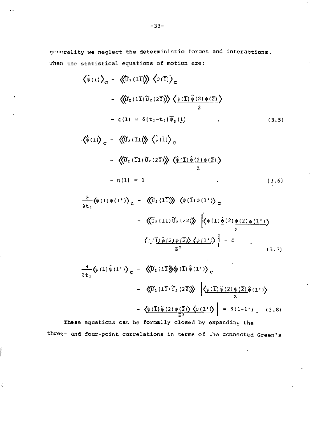generality we neglect the deterministic forces and interactions. Then the statistical equations of motion are:

$$
\langle \psi(1) \rangle_{\mathbf{C}} - \langle \langle \widetilde{\mathbf{U}}_2 (1\mathbf{I}) \rangle \rangle \langle \psi(\mathbf{I}) \rangle_{\mathbf{C}}
$$
  
\n
$$
- \langle \langle \widetilde{\mathbf{U}}_2 (1\mathbf{I}) \widetilde{\mathbf{U}}_2 (2\mathbf{Z}) \rangle \rangle \langle \psi(\mathbf{I}) \hat{\psi}(2) \psi(\mathbf{Z}) \rangle
$$
  
\n
$$
- \zeta(1) = \delta(\mathbf{t}_1 - \mathbf{t}_0) \overline{\psi}_0(\mathbf{I})
$$
  
\n
$$
- \langle \hat{\psi}(1) \rangle_{\mathbf{C}} - \langle \langle \widetilde{\mathbf{U}}_2 (\mathbf{I}1) \rangle \rangle \langle \hat{\psi}(\mathbf{I}) \rangle_{\mathbf{C}}
$$
  
\n(3.5)

$$
-\langle\langle \hat{U}_2(\overline{11})\hat{U}_2(2\overline{2})\rangle\rangle \langle\hat{\psi}(\overline{1})\hat{\psi}(2)\psi(\overline{2})\rangle
$$
  
 
$$
-\eta(1) = 0
$$
 (3.6)

$$
\frac{\partial}{\partial t_1} \langle \psi(1) \psi(1^{\prime}) \rangle_C - \langle \langle \widetilde{U}_2(1\overline{1}) \rangle \rangle \langle \psi(\overline{1}) \psi(1^{\prime}) \rangle_C
$$

$$
- \langle \langle \widetilde{U}_2(1\overline{1}) \widetilde{U}_2(z\overline{2}) \rangle \rangle \left[ \langle \psi(\overline{1}) \hat{\psi}(2) \psi(\overline{2}) \psi(1^{\prime}) \rangle \right]
$$

$$
\frac{\langle \langle \overline{1} \rangle \hat{\psi}(2) \psi(\overline{2}) \rangle \langle \psi(1^{\prime}) \rangle}{z^2} = 0
$$
(3.7)

$$
\frac{\partial}{\partial t_1} \langle \psi(1) \hat{\psi}(1^{\prime}) \rangle_C = \langle \langle \hat{U}_2(1\bar{1}) \rangle \langle \psi(1) \hat{\psi}(1^{\prime}) \rangle_C
$$
  

$$
- \langle \langle \hat{U}_2(1\bar{1}) \hat{U}_2(2\bar{2}) \rangle \rangle \left[ \langle \psi(\bar{1}) \hat{\psi}(2) \psi(\bar{2}) \hat{\psi}(1^{\prime}) \rangle \right]
$$
  

$$
- \langle \psi(\bar{1}) \hat{\psi}(2) \psi(\bar{2}) \rangle \langle \hat{\psi}(1^{\prime}) \rangle = \delta(1-1^{\prime}) . \quad (3.8)
$$

These equations can be formally closed by expanding the These equations can be formally closed by expanding the formally closed by expanding the  $\mathcal{F}_\text{c}$ 

ĺ

ś,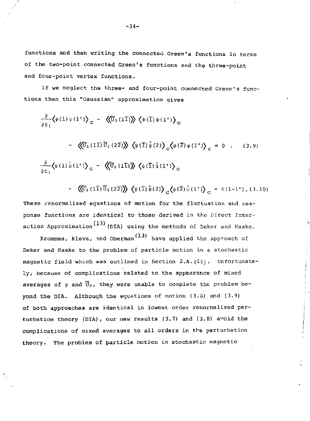functions and then writing the connectea Green's functions in terms of the two-point connected Green's functions and the three-point and four-point vertex functions.

If we neglect the three- and four-point connected Green's functions then this "Gaussian" approximation gives

$$
\frac{\partial}{\partial t_1} \langle \psi(1) \psi(1^{\dagger}) \rangle_C - \langle \langle \widetilde{U}_2(1\overline{1}) \rangle \rangle \langle \psi(\overline{1}) \psi(1^{\dagger}) \rangle_C
$$
  
 
$$
- \langle \langle \widetilde{U}_2(1\overline{1}) \widetilde{U}_2(2\overline{2}) \rangle \rangle \langle \psi(\overline{1}) \hat{\psi}(2) \rangle_C \langle \psi(2) \psi(1^{\dagger}) \rangle_C = 0 . \quad (3.9)
$$
  

$$
\frac{\partial}{\partial t_1} \langle \psi(1) \hat{\psi}(1^{\dagger}) \rangle_C - \langle \langle \widetilde{U}_2(1\overline{1}) \rangle \rangle \langle \psi(\overline{1}) \hat{\psi}(1^{\dagger}) \rangle_C
$$

$$
\sim \langle\langle \widetilde{U}_2(1\overline{1})\widetilde{U}_2(2\overline{2})\rangle\rangle \langle\psi(\overline{1})\hat{\psi}(2)\rangle_c \langle\psi(\overline{2})\hat{\psi}(1^{\prime})\rangle_c = \delta(1-1^{\prime}) , (3.10)
$$

ŧ

These renormalized equations of motion for the fluctuation and response functions are identical to those derived in the Direct Inter action Approximation  $(13)$  (DIA) using the methods of Deker and Haake.

Krommes, Kleva, and Oberman<sup>(13)</sup> have applied the approach of Deker and Haake to the problem of particle motion in a stochastic magnetic field which was outlined in Section 2.A.(ii). Unfortunately, because of complications related to the appearance of mixed averages of  $\psi$  and  $\widetilde{U}_2$ , they were unable to complete the problem beyond the DIA. Although the equations of motion (3.5) and (3.9) of both approaches are identical in lowest order renormalized perturbation theory (DIA), our new results (3.7) and (3.8) avoid the complications of mixed averages to all orders in the perturbation theory. The problem of particle motion in stochastic magnetic

 $-34-$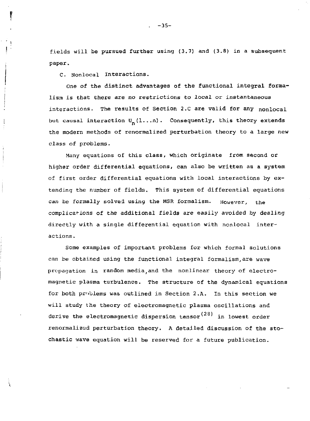fields will be pursued further using (3.7) and (3.8) in a subsequent paper.

C. Nonlocal Interactions.

*One* of the distinct advantages of the functional integral formalism is that there are no restrictions to local or instantaneous interactions. The results of Section 2.C are valid for any nonlocal but causal interaction  $U_n(1...n)$ . Consequently, this theory extends the modern methods of renormalized perturbation theory to a large new class of problems.

Many equations of this class, which originate from second or higher order differential equations, can also be written as a system of first order differential equations with local interactions by extending the number of fields. This system of differential equations can be formally solved using the MSR formalism. However, the complications of the additional fields are easily avoided by dealing directly with a single differential equation with nonlocal interactions .

Some examples of important problems for which formal solutions can be obtained using the functional integral formalism,are wave propagation in random media and the nonlinear theory of electromagnetic plasma turbulence. The structure of the dynamical equations for both prriblems was outlined in Section 2.A. In this section we will study the theory of electromagnetic plasma oscillations and derive the electromagnetic dispersion tensor  $(28)$  in lowest order renormalized perturbation theory. A detailed discussion of the stochastic wave equation will be reserved for a future publication.

-35-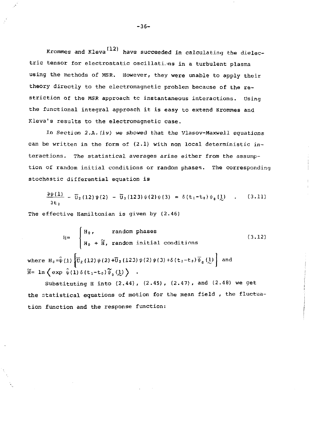Krommes and Kleva<sup>(12)</sup> have succeeded in calculating the dielectric tensor for electrostatic oscillations in a turbulent plasma using the methods of MSR. However, they were unable to apply their theory directly to the electromagnetic problem because of the restriction of the MSR approach to instantaneous interactions. Using the functional integral approach it is easy to extend Krommes and Kleva's results to the electromagnetic case.

In Section 2.A. (iv) we showed that the Vlasov-Maxwell equations can be written in the form of  $(2.1)$  with non local deterministic interactions. The statistical averages arise either from the assumption of random initial conditions or random phases. The corresponding stochastic differential equation is

$$
\frac{\partial \psi(1)}{\partial t_1} - \overline{U}_2(12) \psi(2) - \overline{U}_3(123) \psi(2) \psi(3) = \delta(t_1 - t_0) \psi_0(\underline{1}) \quad . \tag{3.11}
$$

The effective Hamiltonian is given by (2.46)

$$
H = \begin{cases} H_0, & \text{random phases} \\ H_0 + \widetilde{H}, \text{ random initial conditions} \end{cases} \qquad (3.12)
$$
  
where  $H_0 = \hat{\psi}(1) \left[ \overline{U}_2 (12) \psi(2) + \overline{U}_3 (123) \psi(2) \psi(3) + \delta(t_1 - t_0) \overline{\psi}_0(\underline{1}) \right]$  and  $\widetilde{H} = \ln \left( \exp \hat{\psi}(1) \delta(t_1 - t_0) \overline{\psi}_0(\underline{1}) \right)$ .

Substituting H into (2.44), (2.45), (2.47), and (2.48) we get the statistical equations of motion for the mean field , the fluctuation function and the response function: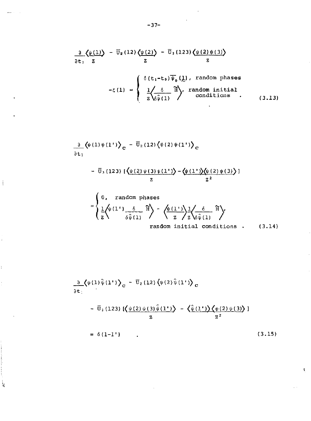$$
\frac{\partial}{\partial t_1}\left\langle \frac{\psi(1)}{z} \right\rangle = \overline{U}_2(12)\left\langle \frac{\psi(2)}{z} \right\rangle = \overline{U}_3(123)\left\langle \frac{\psi(2)\psi(3)}{z} \right\rangle
$$

$$
-\zeta(1) = \begin{cases} \delta(t_1-t_0)\overline{\psi}_0(\underline{1}), \text{ random phases} \\ \frac{1}{2}\overline{\delta\hat{\psi}(1)} & \text{random initial conditions} \\ 0.13 \end{cases}
$$

$$
\frac{\partial}{\partial t_1} \langle \psi(1)\psi(1^{\dagger}) \rangle_C = \overline{U}_2(12) \langle \psi(2)\psi(1^{\dagger}) \rangle_C
$$

 $\frac{1}{2}$ 

 $\mathbf{i}$ 

 $\ddot{\phantom{0}}$ 

 $\frac{1}{2}$ 

ŀ,

$$
-\overline{U}_{3}(123) \left[ \left\langle \frac{\psi(2) \psi(3) \psi(1')}{z} \right\rangle - \left\langle \frac{\psi(1') \psi(2) \psi(3)}{z^{2}} \right\rangle \right]
$$

$$
= \begin{cases} 0, & \text{random phases} \\ \frac{1}{2} \left\langle \psi(1^{\prime\prime}) \frac{\delta}{\delta \hat{\psi}(1)} \right\rangle^2 - \left\langle \frac{\psi(1^{\prime\prime})}{z} \right\rangle \frac{1}{z} \left\langle \frac{\delta}{\delta \hat{\psi}(1)} \right\rangle^2 \\ & \text{random initial conditions .} \end{cases} (3.14)
$$

$$
\frac{\partial}{\partial t} \left\langle \psi(1) \hat{\psi}(1^{\dagger}) \right\rangle_{\mathbf{C}} = \overline{\mathbf{U}}_{2} (12) \left\langle \psi(2) \hat{\psi}(1^{\dagger}) \right\rangle_{\mathbf{C}}
$$

 $\label{eq:2.1} \mathcal{L}(\mathcal{L}^{\text{max}}_{\mathcal{L}}(\mathcal{L}^{\text{max}}_{\mathcal{L}}(\mathcal{L}^{\text{max}}_{\mathcal{L}}(\mathcal{L}^{\text{max}}_{\mathcal{L}^{\text{max}}_{\mathcal{L}}(\mathcal{L}^{\text{max}}_{\mathcal{L}^{\text{max}}_{\mathcal{L}^{\text{max}}_{\mathcal{L}^{\text{max}}_{\mathcal{L}^{\text{max}}_{\mathcal{L}^{\text{max}}_{\mathcal{L}^{\text{max}}_{\mathcal{L}^{\text{max}}_{\mathcal{L}^{\text{max}}$ 

$$
-\overline{U}_{3}(123) \left[\left\langle \frac{\psi(2)\psi(3)\psi(1')}{2}\right\rangle - \left\langle \frac{\hat{\psi}(1')\right\rangle \left\langle \psi(2)\psi(3)\right\rangle}{z^{2}}\right]
$$

$$
= \delta(1-1')
$$
 (3.15)

 $\bar{\mathbf{z}}$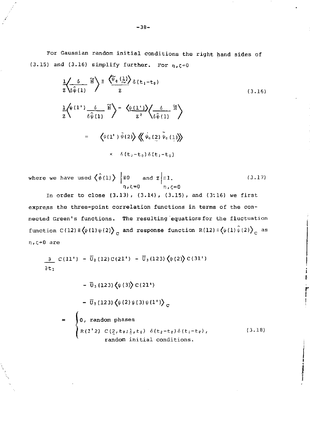For Gaussian random initial conditions the right hand sides of (3.15) and (3.16) simplify further. For  $\eta, \zeta \rightarrow 0$ 

$$
\frac{1}{z}\left\langle \frac{\delta}{\delta \hat{\psi}(1)} \tilde{H} \right\rangle = \frac{\langle \tilde{\psi}_{0}(\frac{1}{z}) \rangle}{z} \delta(t_{1}-t_{0})
$$
\n
$$
\frac{1}{z}\left\langle \psi(1^{*}) \frac{\delta}{\delta \hat{\psi}(1)} \tilde{H} \right\rangle - \frac{\langle \psi(1^{*}) \rangle}{z^{2}} \left\langle \frac{\delta}{\delta \hat{\psi}(1)} \tilde{H} \right\rangle
$$
\n
$$
= \left\langle \psi(1^{*}) \tilde{\psi}(2) \right\rangle \left\langle \psi_{0}(\frac{2}{z}) \tilde{\psi}_{0}(\frac{1}{z}) \right\rangle
$$
\n
$$
\times \delta(t_{2}-t_{0}) \delta(t_{1}-t_{0})
$$
\n(3.16)

where we have used  $\langle \psi(1) \rangle$   $\equiv 0$  and  $z \equiv 1$ . (3.17) n,C=0 n,?=0

In order to close (3.13), (3.14), (3.15), and (3:16) we first express the three-point correlation functions in terms of the connected Green's functions. The resulting equatiors for the fluctuation function  $C(12) \equiv \langle \psi(1) \psi(2) \rangle_c$  and response function  $R(12) \equiv \langle \psi(1) \hat{\psi}(2) \rangle_c$  as HrC-O are

$$
\frac{\partial}{\partial t_1} C(11') - \overline{U}_2(12) C(21') - \overline{U}_3(123) \langle \psi(2) \rangle C(31')
$$

$$
-\overline{U}_{3}(123)\langle\psi(3)\rangle C(21')
$$
  
\n
$$
-\overline{U}_{3}(123)\langle\psi(2)\psi(3)\psi(1')\rangle_{c}
$$
  
\n
$$
=\begin{cases}\n0, \text{ random phases} \\
R(1'2) C(\frac{2}{2}, t_0; \frac{1}{2}, t_0) \delta(t_2-t_0) \delta(t_1-t_0), \\
\text{ random initial conditions.} \end{cases}
$$
\n(3.18)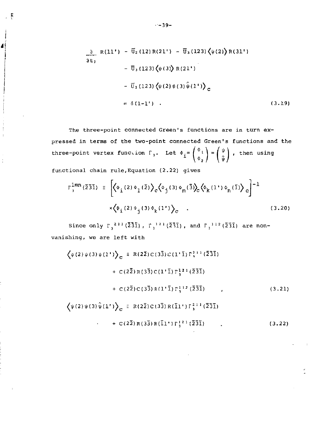$$
\frac{\partial}{\partial t_1} R(11') - \overline{U}_2(12)R(21') - \overline{U}_3(123)\langle\psi(2)\rangle R(31')
$$
  
\n
$$
-\overline{U}_3(123)\langle\psi(3)\rangle R(21')
$$
  
\n
$$
-\overline{U}_3(123)\langle\psi(2)\psi(3)\hat{\psi}(1')\rangle_c
$$
  
\n
$$
= \delta(1-1')
$$
 (3.19)

The three-point connected Green's functions are in turn expressed in terms of the two-point connected Green's functions and the three-point vertex function  $\Gamma_3$ . Let  $\phi_i = \begin{pmatrix} \phi_1 \\ \phi_2 \end{pmatrix} = \begin{pmatrix} \psi \\ \hat{\psi} \end{pmatrix}$ , then using

functional chain rule,Equation (2.22) gives

្ត ន

4

$$
\Gamma_{\mathfrak{z}}^{\text{1,mn}}(\bar{2}\bar{3}\bar{1}) \equiv \left[ \left\langle \Phi_{\mathfrak{z}}(2) \Phi_{\mathfrak{z}}(\bar{2}) \right\rangle_{c} \left\langle \Phi_{\mathfrak{z}}(3) \Phi_{\mathfrak{m}}(\bar{3}) \right\rangle_{c} \left\langle \Phi_{\mathfrak{k}}(1^{+}) \Phi_{\mathfrak{n}}(\bar{1}) \right\rangle_{c} \right]^{-1}
$$
  
 
$$
\times \left\langle \Phi_{\mathfrak{z}}(2) \Phi_{\mathfrak{z}}(3) \Phi_{\mathfrak{k}}(1^{+}) \right\rangle_{c} . \tag{3.20}
$$

Since only  $\Gamma_{\alpha}{}^{2|1|}(\bar{2}\bar{3}\bar{1})$ ,  $\Gamma_{\beta}{}^{1|2|}(\bar{2}\bar{3}\bar{1})$ , and  $\Gamma_{\beta}{}^{1|1|2}(\bar{2}\bar{3}\bar{1})$  are nonvanishing, we are left with

$$
\langle \psi(2)\psi(3)\psi(1^{i}) \rangle_{\mathbf{C}} \equiv R(2\bar{2})C(3\bar{3})C(1^{i}\bar{1})\Gamma_{3}^{21i}(\bar{2}\bar{3}\bar{1}) \n+ C(2\bar{2})R(3\bar{3})C(1^{i}\bar{1})\Gamma_{3}^{12i}(\bar{2}\bar{3}\bar{1}) \n+ C(2\bar{2})C(3\bar{3})R(1^{i}\bar{1})\Gamma_{3}^{112}(\bar{2}\bar{3}\bar{1}) , \qquad (3.21)
$$
\n
$$
\langle \psi(2)\psi(3)\hat{\psi}(1^{i}) \rangle_{\mathbf{C}} \equiv R(2\bar{2})C(3\bar{3})R(\bar{1}^{i})\Gamma_{3}^{21i}(\bar{2}\bar{3}\bar{1}) \n+ C(2\bar{2})R(3\bar{3})R(\bar{1}^{i})\Gamma_{3}^{12i}(\bar{2}\bar{3}\bar{1}) . \qquad (3.22)
$$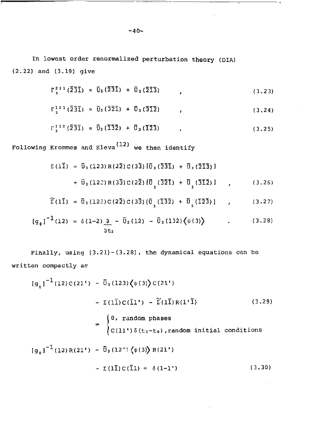In lowest order renormalized perturbation theory (DIA) (2.22) and (3.19) give

$$
\Gamma_3^{211}(\bar{2}\bar{3}\bar{1}) = \bar{u}_3(\bar{2}\bar{3}\bar{1}) + \bar{u}_3(\bar{2}\bar{1}\bar{3}) \qquad , \qquad (3.23)
$$

$$
\Gamma_3^{121}(\bar{2}\bar{3}\bar{1}) \approx \bar{U}_3(\bar{3}\bar{2}\bar{1}) + \bar{U}_3(\bar{3}\bar{1}\bar{2}) \qquad , \qquad (3.24)
$$

$$
\Gamma_3^{112} \left( \bar{2} \bar{3} \bar{1} \right) \approx \bar{U}_3 \left( \bar{1} \bar{3} \bar{2} \right) + \bar{U}_3 \left( \bar{1} \bar{2} \bar{3} \right) \tag{3.25}
$$

Following Krommes and Kleva<sup>(12)</sup> we then identify

$$
\Sigma (1\bar{1}) = \bar{U}_3 (123) R(2\bar{2}) C(3\bar{3}) [\bar{U}_3 (2\bar{3}\bar{1}) + \bar{U}_3 (2\bar{1}\bar{3})]
$$
  
+  $\bar{U}_3 (122) R(3\bar{3}) C(2\bar{2}) [\bar{U}_3 (3\bar{2}\bar{1}) + \bar{U}_3 (3\bar{1}\bar{2})]$  (3.26)

$$
\widetilde{\Sigma}(1\bar{1}) = \bar{U}_3(12\bar{z})C(2\bar{2})C(3\bar{3})\left[\bar{U}_3(1\bar{3}\bar{2}) + \bar{U}_3(1\bar{2}\bar{3})\right]
$$
 (3.27)

$$
[g_{\theta}]^{-1}(12) = \delta(1-2)\frac{\partial}{\partial t_2} - \bar{U}_2(12) - \bar{U}_3(132)\langle\psi(3)\rangle
$$
 (3.28)

Finally, using (3.21)-(3.28), the dynamical equations can be written compactly as

$$
[g_{0}]^{-1}(12)c(21^{i}) - \bar{U}_{3}(123)\langle\psi(3)\rangle c(21^{i})
$$
  
\n
$$
- \Sigma(\bar{1}C(\bar{1}1^{i}) - \tilde{\Sigma}(\bar{1}R(1^{i}\bar{1})
$$
(3.29)  
\n
$$
= \begin{cases} 0, \text{ random phases} \\ c(11^{i})\delta(t_{1}-t_{0}), \text{ random initial conditions} \end{cases}
$$
  
\n
$$
[g_{0}]^{-1}(12)R(21^{i}) - \bar{U}_{3}(12^{i})\langle\psi(3)\rangle R(21^{i})
$$
  
\n
$$
- \Sigma(\bar{1}C(\bar{1}1) = \delta(1-1^{i})
$$
(3.30)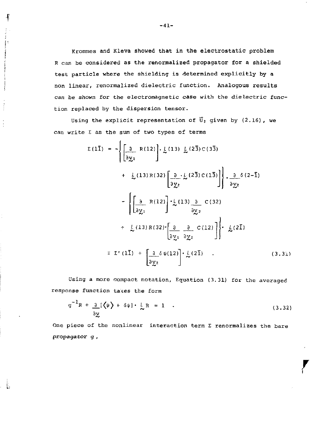Krommes and Kleva showed **that** in the electrostatic problem R can be considered as the renormalized propagator for a shielded test particle where the shielding is determined explicitly by a non linear, renormalized dielectric function. Analogous results can be shown for the electromagnetic case with the dielectric function replaced by the dispersion tensor.

Using the explicit representation of  $\overline{U}_3$  given by (2.16), we can write  $\Sigma$  as the sum of two types of terms

$$
\Sigma (1\overline{1}) = -\left\{ \left[ \frac{\partial}{\partial y_1} R(12) \right] \cdot \frac{L}{\omega} (13) \frac{L}{\omega} (2\overline{3}) C(3\overline{3}) + \frac{L}{\omega} (13) R(32) \left[ \frac{\partial}{\partial y_2} \cdot \frac{L}{\omega} (2\overline{3}) C(1\overline{3}) \right] \right\} \cdot \frac{\partial}{\partial y_2} \delta (2-\overline{1})
$$
  

$$
- \left\{ \left[ \frac{\partial}{\partial y_1} R(12) \right] \cdot \frac{L}{\omega} (13) \frac{\partial}{\partial y_2} C(32)
$$
  

$$
+ \frac{L}{\omega} (13) R(32) \cdot \left[ \frac{\partial}{\partial y_1} \frac{\partial}{\partial y_2} C(12) \right] \right\} \cdot \frac{L}{\omega} (2\overline{1})
$$
  

$$
\equiv \Sigma^* (1\overline{1}) + \left[ \frac{\partial}{\partial y_2} \delta \psi (12) \right] \cdot \frac{L}{\omega} (2\overline{1}) \qquad (3.31)
$$

Using a more compact notation, Equation (3.31) for the averaged response function takes the form

$$
g^{-1}R + \frac{\partial}{\partial x}[\langle \psi \rangle + \delta \psi] \cdot \frac{1}{\kappa}R = 1 \quad . \tag{3.32}
$$

One piece of the nonlinear interaction term  $\Sigma$  renormalizes the bare propagator g ,

ŧ

Ĵ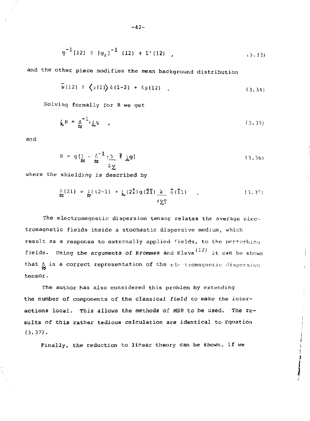$$
g^{-1}(12) \equiv [g_g]^{-1} (12) + \Sigma^+(12) , \qquad (3.33)
$$

**and the other piece modifies the mean background distribution** 

$$
\Psi(12) \equiv \left\langle \psi(1) \right\rangle \delta(1-2) + \delta \psi(12) \quad . \tag{3.34}
$$

**Solving formally for R we get** 

$$
\mathbf{L}^R = \mathbf{A}^{-1} \mathbf{L} \mathbf{G} \tag{3.35}
$$

**and** 

$$
R = g\left\{\frac{1}{2} - \frac{\Delta^{-1}}{2} : \frac{3}{2} \bar{f} \right\} g\}
$$
\n(3.36)

**where** the **shielding is described by** 

$$
\begin{array}{lll}\n\Lambda(21) &=& \frac{1}{6} \left(2-1\right) + \frac{1}{6} \left(2\overline{2}\right) g\left(\overline{2}\overline{1}\right) \quad \frac{1}{2} \quad \overline{\psi}\left(\overline{1}1\right) \\
&& \frac{1}{2} \frac{1}{\sqrt{1}}\n\end{array}\n\tag{3.37}
$$

**The electromagnetic dispersion tensor relates the average electromagnetic fields inside a stochastic** dispersive medium, which result as a response to externally applied fields, to the perturbing **fields. Using the arguments of Krommes and** Kleva it **can** be shown that  $\alpha$  is a correct representation of the electromagnetic dispersion **tensor.** 

**The author has also considered this problem by extending the number of components of the classical field to make the interactions local. This allows the methods of MSR to be used. The results of this rather tedious calculation are identical to Equation (3.37).** 

**Finally, the reduction to linear theory can be shown, if we** 

**The Contract of the Contract**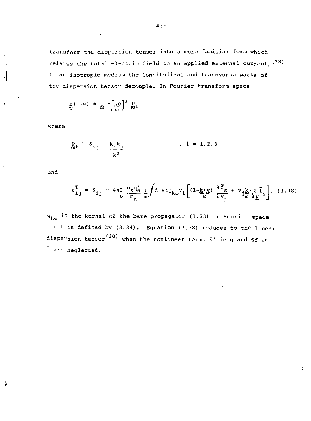transform the dispersion tensor into a more familiar form which relates the total electric field to an applied external current.  $(28)$ In an isotropic medium the longitudinal and transverse parts of the dispersion tensor decouple. In Fourier \*ransform space

$$
\sum_{\alpha}^{N} (k, \omega) \equiv \frac{1}{N} - \left[ \frac{kc}{\omega} \right]^2 \frac{p}{N}t
$$

where

$$
\sum_{\substack{k=1 \ k \neq i}}^p \frac{1}{k} \cdot \frac{k}{i} \cdot \frac{k}{i} \qquad \qquad , \quad i = 1, 2, 3
$$

and

į,

$$
\epsilon_{ij}^T = \delta_{ij} - 4\pi \sum_{s} \frac{n_s q_s^2}{m_s} \frac{1}{\omega} \int d^3 v i g_{k\omega} v_i \left[ (1 - \underbrace{k \cdot y}_{\omega}) \frac{\partial \vec{F}_s}{\partial v_j} + v_j \underbrace{k \cdot \partial \vec{F}_s}_{\omega} \right]. \quad (3.38)
$$

k.

 $g_{k(t)}$  is the kernel of the bare propagator (3.33) in Fourier space and  $\bar{f}$  is defined by (3.34). Equation (3.38) reduces to the linear dispersion tensor<sup>(28)</sup> when the nonlinear terms  $\Sigma'$  in g and  $6f$  in f are neglected.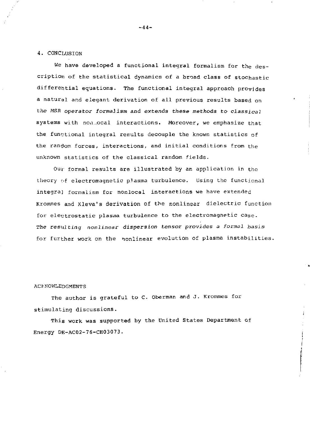### 4. CONCLUSION

We have developed a functional integral formalism for the description of the statistical dynamics of a broad class of stochastic differential equations. The functional integral approach provides a natural and elegant derivation of all previous results based on the *MSR operator formalism* and *extends* these methods to *classical*  systems with non.ocal interactions. Moreover, we emphasize that the functional integral results decouple the known statistics of the random forces, interactions, and initial conditions from the unknown statistics of the classical random fields.

Out' formal results are illustrated by an application in the theory of electromagnetic plasma turbulence. Using the functional integral formalism for nonlocal interactions we have extended Krommes and Kleva's derivation of the nonlinear dielectric function for electrostatic plasma turbulence to the electromagnetic case. *The resulting nonlinear dispersion tensor provides a formal basis*  for further work on the nonlinear evolution of plasma instabilities.

#### ACKNOWLEDGMENTS

The author is grateful to C. Oberman and J. Krommes for stimulating discussions.

This work was supported by the United States Department of Energy DE-AC02-76-CH03073.

-44-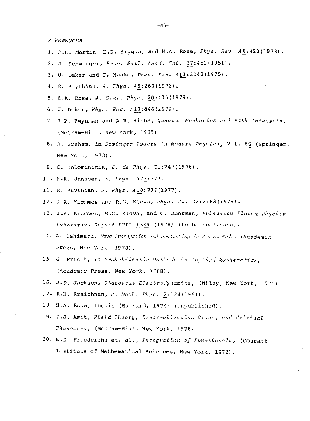**REFERENCES** 

- 1. P.C. Martin, E.D. Siggia, and H.A. Rose, Phys. Rev. A8:423(1973).
- 2. J. Schwinger, *Proc. Natl. Acad. 5ci .* 37:452(1951).
- 3 . U. Deker and F. Haake, *Phye. Rev. All*.:2043(1975) .
- 4. R. Phythian, *J. Phys. A*9:269 (1976).
- 5. H.A. Rose, *J. Stat. Phiis.* 2^:415(1979).
- 6. U. Deker, *Phys. Rev.* 419:846(1979).
- 7. R.P. Feynman and A.R. Hibbs, *Quantum Mechanics and Path Integrals,*  (McGraw-Hill, New York, 1965)
- 8. R. Graham, in Springer Tracts in Modern Physics, Vol. 66 (Springer, New York, 1973).
- 9. C. DeDominicis, *J. de Phys.* C1:247(1976).
- 10. H.K. Janssen, Z. Phys. B23:377.
- 11. R. Phythian, *J. Phys. A*10: 777 (1977).
- 12. J.A. "*rommes and R.G. Kleva, Phys. Fl. 22:2168(1979)*.
- 13. J.A. Krommes, R.G. Kleva, and C. Oberman, Princeton Plasma Physics Laboratory Report PPPL-1389 (1978) (to be published).
- 14. A. Ishimaru, *Wave Propa-jation and Seattering in Roulom Media* (Academic Press, New York, 1978).
- 1 5 . U. Frisch , in *Probabilistic Methods in Apylicd Mathematics, (hcademic Press, New* York, 1968) .
- 16. J-D. Jackson , *Classical Electro dynamics,* (Wiley, New York, 1975).
- 17. R.H. Kraichnan, *J. Wath. Phys.* 2:124 (1961).
- 18. H.A. Rose, thesis (Harvard, 1974) (unpublished).
- 19. D.J. Amit, *Field Theory, Renormalisation Group, and Critical Phenomena,* (McGraw-Hill, New York, 1978).
- 20. K.D. Friedrichs et. al., *Integration of Functionals*, (Courant Institute of Mathematical Sciences, New York, 1976).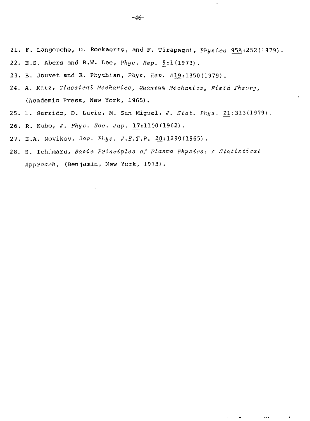- 21. F. Langouche, D. Roekaerts, and F. Tirapegui, *Physica* 95A:252(1979).
- 22. E.S. Abers and B.W. Lee, *Phys. Rep.* 9:1(1973).
- 2 3 . B. JOUVet and R. Phythian , *Phys. Rev.* 419:1350 (1979) .
- 24. A. Katz, Classical Mechanics, Quantum Mechanics, Field Theory, (Academic Press, New York, 1965).
- 2 5 . L. Garrido , D. Lurie , M. San Miguel, *J. Stat. Phys.* 21:313(1979).
- 2 6. R. Kubo, *J. Phys. Soc. Jap.* 17:1100(1962).
- 27. E.A. Novikov, *Sov. Phys. J.E.T.P.* 20:1290(1965).
- 28. S. Ichi.maru, *Basic Principles of Plasma Physics: A Static tical Approach,* (Benjamin, New York, 1973).